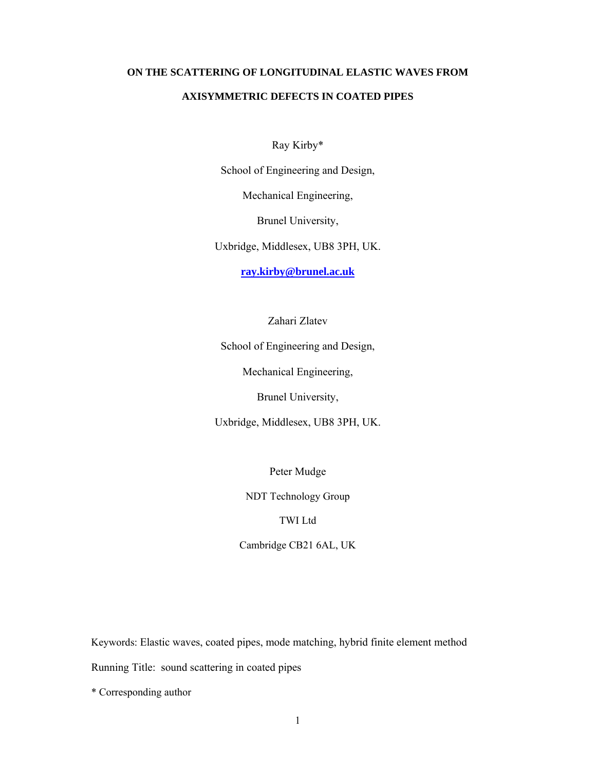# **ON THE SCATTERING OF LONGITUDINAL ELASTIC WAVES FROM AXISYMMETRIC DEFECTS IN COATED PIPES**

Ray Kirby\*

School of Engineering and Design,

Mechanical Engineering,

Brunel University,

Uxbridge, Middlesex, UB8 3PH, UK.

**ray.kirby@brunel.ac.uk**

Zahari Zlatev

School of Engineering and Design,

Mechanical Engineering,

Brunel University,

Uxbridge, Middlesex, UB8 3PH, UK.

Peter Mudge

NDT Technology Group

# TWI Ltd

Cambridge CB21 6AL, UK

Keywords: Elastic waves, coated pipes, mode matching, hybrid finite element method Running Title: sound scattering in coated pipes

\* Corresponding author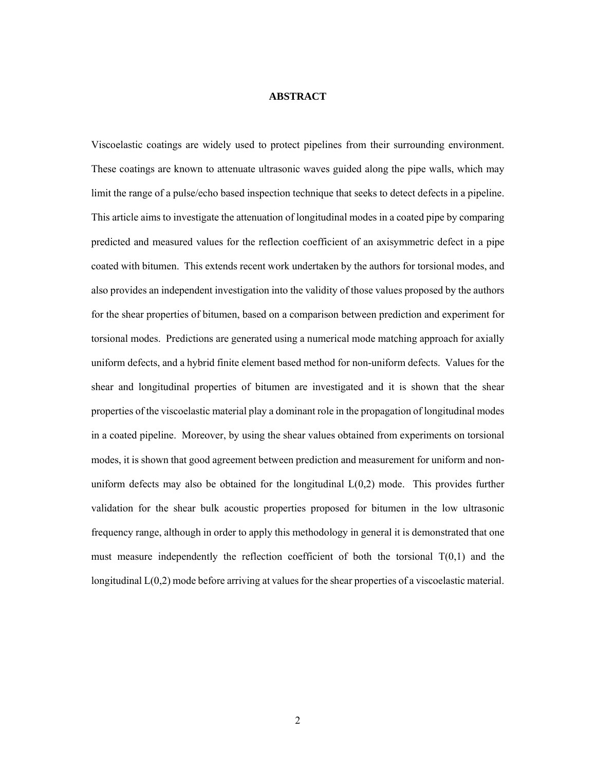## **ABSTRACT**

Viscoelastic coatings are widely used to protect pipelines from their surrounding environment. These coatings are known to attenuate ultrasonic waves guided along the pipe walls, which may limit the range of a pulse/echo based inspection technique that seeks to detect defects in a pipeline. This article aims to investigate the attenuation of longitudinal modes in a coated pipe by comparing predicted and measured values for the reflection coefficient of an axisymmetric defect in a pipe coated with bitumen. This extends recent work undertaken by the authors for torsional modes, and also provides an independent investigation into the validity of those values proposed by the authors for the shear properties of bitumen, based on a comparison between prediction and experiment for torsional modes. Predictions are generated using a numerical mode matching approach for axially uniform defects, and a hybrid finite element based method for non-uniform defects. Values for the shear and longitudinal properties of bitumen are investigated and it is shown that the shear properties of the viscoelastic material play a dominant role in the propagation of longitudinal modes in a coated pipeline. Moreover, by using the shear values obtained from experiments on torsional modes, it is shown that good agreement between prediction and measurement for uniform and nonuniform defects may also be obtained for the longitudinal  $L(0,2)$  mode. This provides further validation for the shear bulk acoustic properties proposed for bitumen in the low ultrasonic frequency range, although in order to apply this methodology in general it is demonstrated that one must measure independently the reflection coefficient of both the torsional  $T(0,1)$  and the longitudinal L(0,2) mode before arriving at values for the shear properties of a viscoelastic material.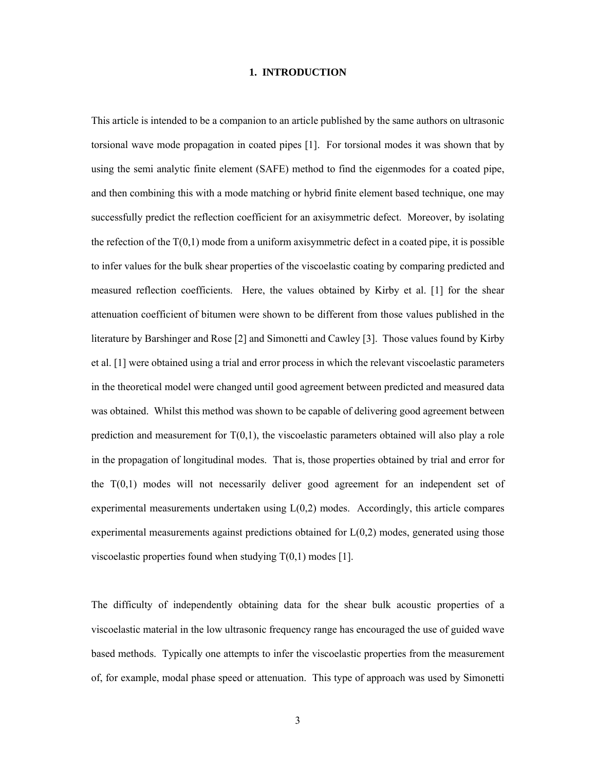#### **1. INTRODUCTION**

This article is intended to be a companion to an article published by the same authors on ultrasonic torsional wave mode propagation in coated pipes [1]. For torsional modes it was shown that by using the semi analytic finite element (SAFE) method to find the eigenmodes for a coated pipe, and then combining this with a mode matching or hybrid finite element based technique, one may successfully predict the reflection coefficient for an axisymmetric defect. Moreover, by isolating the refection of the  $T(0,1)$  mode from a uniform axisymmetric defect in a coated pipe, it is possible to infer values for the bulk shear properties of the viscoelastic coating by comparing predicted and measured reflection coefficients. Here, the values obtained by Kirby et al. [1] for the shear attenuation coefficient of bitumen were shown to be different from those values published in the literature by Barshinger and Rose [2] and Simonetti and Cawley [3]. Those values found by Kirby et al. [1] were obtained using a trial and error process in which the relevant viscoelastic parameters in the theoretical model were changed until good agreement between predicted and measured data was obtained. Whilst this method was shown to be capable of delivering good agreement between prediction and measurement for  $T(0,1)$ , the viscoelastic parameters obtained will also play a role in the propagation of longitudinal modes. That is, those properties obtained by trial and error for the T(0,1) modes will not necessarily deliver good agreement for an independent set of experimental measurements undertaken using  $L(0,2)$  modes. Accordingly, this article compares experimental measurements against predictions obtained for  $L(0,2)$  modes, generated using those viscoelastic properties found when studying  $T(0,1)$  modes [1].

The difficulty of independently obtaining data for the shear bulk acoustic properties of a viscoelastic material in the low ultrasonic frequency range has encouraged the use of guided wave based methods. Typically one attempts to infer the viscoelastic properties from the measurement of, for example, modal phase speed or attenuation. This type of approach was used by Simonetti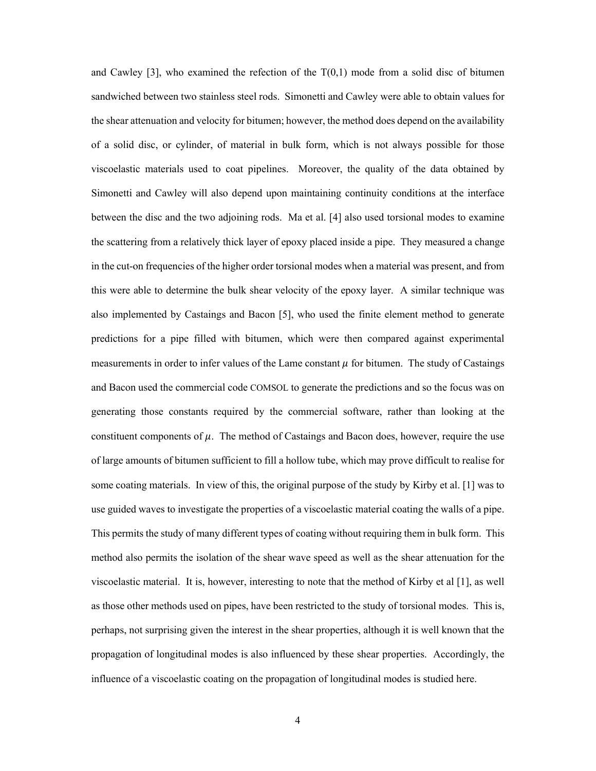and Cawley [3], who examined the refection of the  $T(0,1)$  mode from a solid disc of bitumen sandwiched between two stainless steel rods. Simonetti and Cawley were able to obtain values for the shear attenuation and velocity for bitumen; however, the method does depend on the availability of a solid disc, or cylinder, of material in bulk form, which is not always possible for those viscoelastic materials used to coat pipelines. Moreover, the quality of the data obtained by Simonetti and Cawley will also depend upon maintaining continuity conditions at the interface between the disc and the two adjoining rods. Ma et al. [4] also used torsional modes to examine the scattering from a relatively thick layer of epoxy placed inside a pipe. They measured a change in the cut-on frequencies of the higher order torsional modes when a material was present, and from this were able to determine the bulk shear velocity of the epoxy layer. A similar technique was also implemented by Castaings and Bacon [5], who used the finite element method to generate predictions for a pipe filled with bitumen, which were then compared against experimental measurements in order to infer values of the Lame constant  $\mu$  for bitumen. The study of Castaings and Bacon used the commercial code COMSOL to generate the predictions and so the focus was on generating those constants required by the commercial software, rather than looking at the constituent components of  $\mu$ . The method of Castaings and Bacon does, however, require the use of large amounts of bitumen sufficient to fill a hollow tube, which may prove difficult to realise for some coating materials. In view of this, the original purpose of the study by Kirby et al. [1] was to use guided waves to investigate the properties of a viscoelastic material coating the walls of a pipe. This permits the study of many different types of coating without requiring them in bulk form. This method also permits the isolation of the shear wave speed as well as the shear attenuation for the viscoelastic material. It is, however, interesting to note that the method of Kirby et al [1], as well as those other methods used on pipes, have been restricted to the study of torsional modes. This is, perhaps, not surprising given the interest in the shear properties, although it is well known that the propagation of longitudinal modes is also influenced by these shear properties. Accordingly, the influence of a viscoelastic coating on the propagation of longitudinal modes is studied here.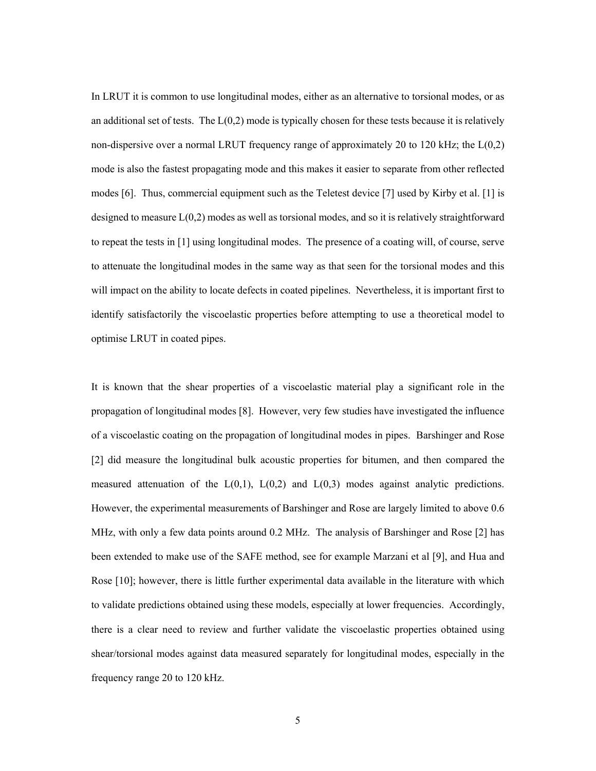In LRUT it is common to use longitudinal modes, either as an alternative to torsional modes, or as an additional set of tests. The  $L(0,2)$  mode is typically chosen for these tests because it is relatively non-dispersive over a normal LRUT frequency range of approximately 20 to 120 kHz; the L(0,2) mode is also the fastest propagating mode and this makes it easier to separate from other reflected modes [6]. Thus, commercial equipment such as the Teletest device [7] used by Kirby et al. [1] is designed to measure  $L(0,2)$  modes as well as torsional modes, and so it is relatively straightforward to repeat the tests in [1] using longitudinal modes. The presence of a coating will, of course, serve to attenuate the longitudinal modes in the same way as that seen for the torsional modes and this will impact on the ability to locate defects in coated pipelines. Nevertheless, it is important first to identify satisfactorily the viscoelastic properties before attempting to use a theoretical model to optimise LRUT in coated pipes.

It is known that the shear properties of a viscoelastic material play a significant role in the propagation of longitudinal modes [8]. However, very few studies have investigated the influence of a viscoelastic coating on the propagation of longitudinal modes in pipes. Barshinger and Rose [2] did measure the longitudinal bulk acoustic properties for bitumen, and then compared the measured attenuation of the  $L(0,1)$ ,  $L(0,2)$  and  $L(0,3)$  modes against analytic predictions. However, the experimental measurements of Barshinger and Rose are largely limited to above 0.6 MHz, with only a few data points around 0.2 MHz. The analysis of Barshinger and Rose [2] has been extended to make use of the SAFE method, see for example Marzani et al [9], and Hua and Rose [10]; however, there is little further experimental data available in the literature with which to validate predictions obtained using these models, especially at lower frequencies. Accordingly, there is a clear need to review and further validate the viscoelastic properties obtained using shear/torsional modes against data measured separately for longitudinal modes, especially in the frequency range 20 to 120 kHz.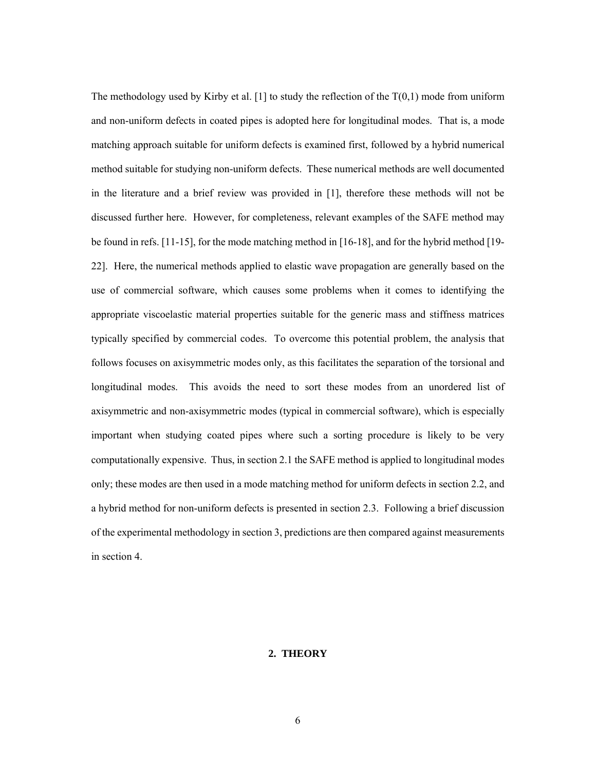The methodology used by Kirby et al. [1] to study the reflection of the  $T(0,1)$  mode from uniform and non-uniform defects in coated pipes is adopted here for longitudinal modes. That is, a mode matching approach suitable for uniform defects is examined first, followed by a hybrid numerical method suitable for studying non-uniform defects. These numerical methods are well documented in the literature and a brief review was provided in [1], therefore these methods will not be discussed further here. However, for completeness, relevant examples of the SAFE method may be found in refs. [11-15], for the mode matching method in [16-18], and for the hybrid method [19- 22]. Here, the numerical methods applied to elastic wave propagation are generally based on the use of commercial software, which causes some problems when it comes to identifying the appropriate viscoelastic material properties suitable for the generic mass and stiffness matrices typically specified by commercial codes. To overcome this potential problem, the analysis that follows focuses on axisymmetric modes only, as this facilitates the separation of the torsional and longitudinal modes. This avoids the need to sort these modes from an unordered list of axisymmetric and non-axisymmetric modes (typical in commercial software), which is especially important when studying coated pipes where such a sorting procedure is likely to be very computationally expensive. Thus, in section 2.1 the SAFE method is applied to longitudinal modes only; these modes are then used in a mode matching method for uniform defects in section 2.2, and a hybrid method for non-uniform defects is presented in section 2.3. Following a brief discussion of the experimental methodology in section 3, predictions are then compared against measurements in section 4.

## **2. THEORY**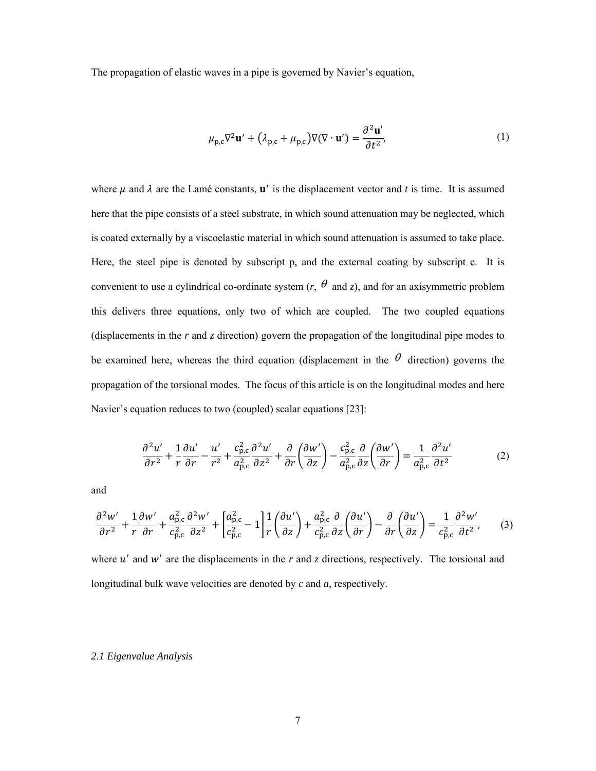The propagation of elastic waves in a pipe is governed by Navier's equation,

$$
\mu_{p,c}\nabla^2\mathbf{u}' + (\lambda_{p,c} + \mu_{p,c})\nabla(\nabla \cdot \mathbf{u}') = \frac{\partial^2 \mathbf{u}'}{\partial t^2},\tag{1}
$$

where  $\mu$  and  $\lambda$  are the Lamé constants,  $\mathbf{u}'$  is the displacement vector and *t* is time. It is assumed here that the pipe consists of a steel substrate, in which sound attenuation may be neglected, which is coated externally by a viscoelastic material in which sound attenuation is assumed to take place. Here, the steel pipe is denoted by subscript p, and the external coating by subscript c. It is convenient to use a cylindrical co-ordinate system  $(r, \theta$  and z), and for an axisymmetric problem this delivers three equations, only two of which are coupled. The two coupled equations (displacements in the *r* and *z* direction) govern the propagation of the longitudinal pipe modes to be examined here, whereas the third equation (displacement in the  $\theta$  direction) governs the propagation of the torsional modes. The focus of this article is on the longitudinal modes and here Navier's equation reduces to two (coupled) scalar equations [23]:

$$
\frac{\partial^2 u'}{\partial r^2} + \frac{1}{r} \frac{\partial u'}{\partial r} - \frac{u'}{r^2} + \frac{c_{\text{p,c}}^2}{a_{\text{p,c}}^2} \frac{\partial^2 u'}{\partial z^2} + \frac{\partial}{\partial r} \left( \frac{\partial w'}{\partial z} \right) - \frac{c_{\text{p,c}}^2}{a_{\text{p,c}}^2} \frac{\partial}{\partial z} \left( \frac{\partial w'}{\partial r} \right) = \frac{1}{a_{\text{p,c}}^2} \frac{\partial^2 u'}{\partial t^2}
$$
(2)

and

$$
\frac{\partial^2 w'}{\partial r^2} + \frac{1}{r} \frac{\partial w'}{\partial r} + \frac{a_{\text{p,c}}^2}{c_{\text{p,c}}^2} \frac{\partial^2 w'}{\partial z^2} + \left[ \frac{a_{\text{p,c}}^2}{c_{\text{p,c}}^2} - 1 \right] \frac{1}{r} \left( \frac{\partial u'}{\partial z} \right) + \frac{a_{\text{p,c}}^2}{c_{\text{p,c}}^2} \frac{\partial}{\partial z} \left( \frac{\partial u'}{\partial r} \right) - \frac{\partial}{\partial r} \left( \frac{\partial u'}{\partial z} \right) = \frac{1}{c_{\text{p,c}}^2} \frac{\partial^2 w'}{\partial t^2},\tag{3}
$$

where  $u'$  and  $w'$  are the displacements in the  $r$  and  $z$  directions, respectively. The torsional and longitudinal bulk wave velocities are denoted by *c* and *a*, respectively.

#### *2.1 Eigenvalue Analysis*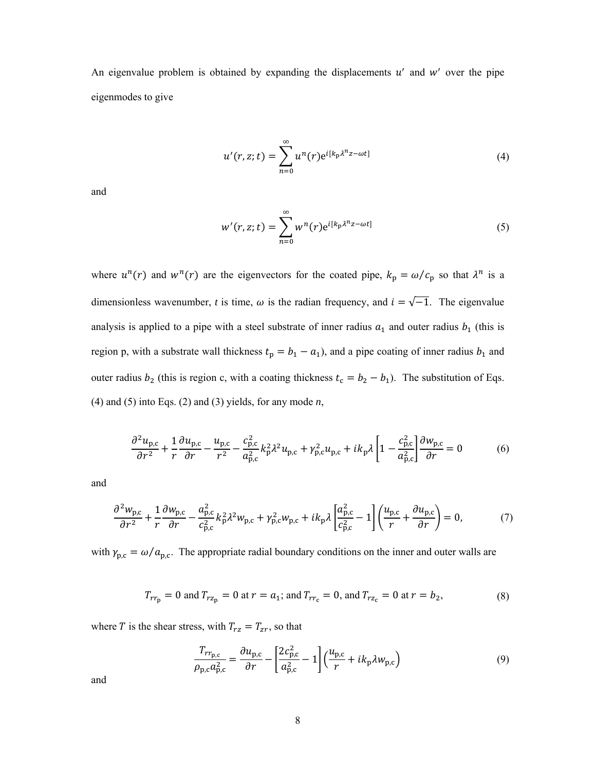An eigenvalue problem is obtained by expanding the displacements  $u'$  and  $w'$  over the pipe eigenmodes to give

$$
u'(r, z; t) = \sum_{n=0}^{\infty} u^n(r) e^{i[k_p \lambda^n z - \omega t]}
$$
 (4)

and

$$
w'(r, z; t) = \sum_{n=0}^{\infty} w^n(r) e^{i[k_p \lambda^n z - \omega t]}
$$
 (5)

where  $u^n(r)$  and  $w^n(r)$  are the eigenvectors for the coated pipe,  $k_p = \omega/c_p$  so that  $\lambda^n$  is a dimensionless wavenumber, *t* is time,  $\omega$  is the radian frequency, and  $i = \sqrt{-1}$ . The eigenvalue analysis is applied to a pipe with a steel substrate of inner radius  $a_1$  and outer radius  $b_1$  (this is region p, with a substrate wall thickness  $t_p = b_1 - a_1$ , and a pipe coating of inner radius  $b_1$  and outer radius  $b_2$  (this is region c, with a coating thickness  $t_c = b_2 - b_1$ ). The substitution of Eqs. (4) and (5) into Eqs. (2) and (3) yields, for any mode *n*,

$$
\frac{\partial^2 u_{\mathbf{p},\mathbf{c}}}{\partial r^2} + \frac{1}{r} \frac{\partial u_{\mathbf{p},\mathbf{c}}}{\partial r} - \frac{u_{\mathbf{p},\mathbf{c}}}{r^2} - \frac{c_{\mathbf{p},\mathbf{c}}^2}{a_{\mathbf{p},\mathbf{c}}^2} k_{\mathbf{p}}^2 \lambda^2 u_{\mathbf{p},\mathbf{c}} + \gamma_{\mathbf{p},\mathbf{c}}^2 u_{\mathbf{p},\mathbf{c}} + ik_{\mathbf{p}} \lambda \left[ 1 - \frac{c_{\mathbf{p},\mathbf{c}}^2}{a_{\mathbf{p},\mathbf{c}}^2} \right] \frac{\partial w_{\mathbf{p},\mathbf{c}}}{\partial r} = 0 \tag{6}
$$

and

$$
\frac{\partial^2 w_{\mathbf{p},\mathbf{c}}}{\partial r^2} + \frac{1}{r} \frac{\partial w_{\mathbf{p},\mathbf{c}}}{\partial r} - \frac{a_{\mathbf{p},\mathbf{c}}^2}{c_{\mathbf{p},\mathbf{c}}^2} k_{\mathbf{p}}^2 \lambda^2 w_{\mathbf{p},\mathbf{c}} + \gamma_{\mathbf{p},\mathbf{c}}^2 w_{\mathbf{p},\mathbf{c}} + ik_{\mathbf{p}} \lambda \left[ \frac{a_{\mathbf{p},\mathbf{c}}^2}{c_{\mathbf{p},\mathbf{c}}^2} - 1 \right] \left( \frac{u_{\mathbf{p},\mathbf{c}}}{r} + \frac{\partial u_{\mathbf{p},\mathbf{c}}}{\partial r} \right) = 0,\tag{7}
$$

with  $\gamma_{p,c} = \omega/a_{p,c}$ . The appropriate radial boundary conditions on the inner and outer walls are

$$
T_{rr_p} = 0
$$
 and  $T_{rz_p} = 0$  at  $r = a_1$ ; and  $T_{rr_c} = 0$ , and  $T_{rz_c} = 0$  at  $r = b_2$ , (8)

where T is the shear stress, with  $T_{rz} = T_{zr}$ , so that

$$
\frac{T_{rr_{\mathbf{p},\mathbf{c}}}}{\rho_{\mathbf{p},\mathbf{c}}a_{\mathbf{p},\mathbf{c}}^2} = \frac{\partial u_{\mathbf{p},\mathbf{c}}}{\partial r} - \left[\frac{2c_{\mathbf{p},\mathbf{c}}^2}{a_{\mathbf{p},\mathbf{c}}^2} - 1\right] \left(\frac{u_{\mathbf{p},\mathbf{c}}}{r} + ik_{\mathbf{p}}\lambda w_{\mathbf{p},\mathbf{c}}\right)
$$
(9)

and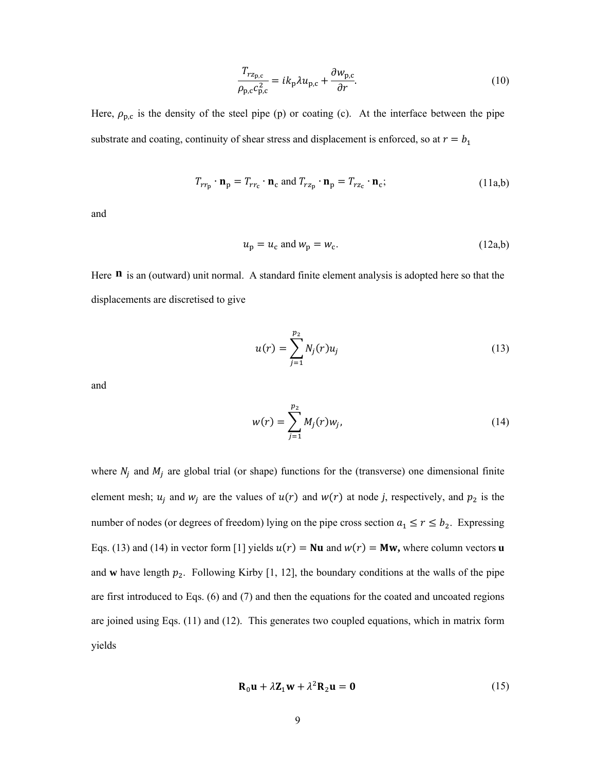$$
\frac{T_{rz_{p,c}}}{\rho_{p,c}c_{p,c}^2} = ik_p \lambda u_{p,c} + \frac{\partial w_{p,c}}{\partial r}.
$$
\n(10)

Here,  $\rho_{p,c}$  is the density of the steel pipe (p) or coating (c). At the interface between the pipe substrate and coating, continuity of shear stress and displacement is enforced, so at  $r = b_1$ 

$$
T_{rr_{\mathbf{p}}} \cdot \mathbf{n}_{\mathbf{p}} = T_{rr_{\mathbf{c}}} \cdot \mathbf{n}_{\mathbf{c}} \text{ and } T_{rz_{\mathbf{p}}} \cdot \mathbf{n}_{\mathbf{p}} = T_{rz_{\mathbf{c}}} \cdot \mathbf{n}_{\mathbf{c}}; \tag{11a,b}
$$

and

$$
u_p = u_c \text{ and } w_p = w_c. \tag{12a,b}
$$

Here **n** is an (outward) unit normal. A standard finite element analysis is adopted here so that the displacements are discretised to give

$$
u(r) = \sum_{j=1}^{p_2} N_j(r) u_j
$$
 (13)

and

$$
w(r) = \sum_{j=1}^{p_2} M_j(r) w_j,
$$
 (14)

where  $N_j$  and  $M_j$  are global trial (or shape) functions for the (transverse) one dimensional finite element mesh;  $u_i$  and  $w_i$  are the values of  $u(r)$  and  $w(r)$  at node *j*, respectively, and  $p_2$  is the number of nodes (or degrees of freedom) lying on the pipe cross section  $a_1 \le r \le b_2$ . Expressing Eqs. (13) and (14) in vector form [1] yields  $u(r) = Nu$  and  $w(r) = Mw$ , where column vectors **u** and **w** have length  $p_2$ . Following Kirby [1, 12], the boundary conditions at the walls of the pipe are first introduced to Eqs. (6) and (7) and then the equations for the coated and uncoated regions are joined using Eqs. (11) and (12). This generates two coupled equations, which in matrix form yields

$$
\mathbf{R}_0 \mathbf{u} + \lambda \mathbf{Z}_1 \mathbf{w} + \lambda^2 \mathbf{R}_2 \mathbf{u} = \mathbf{0}
$$
 (15)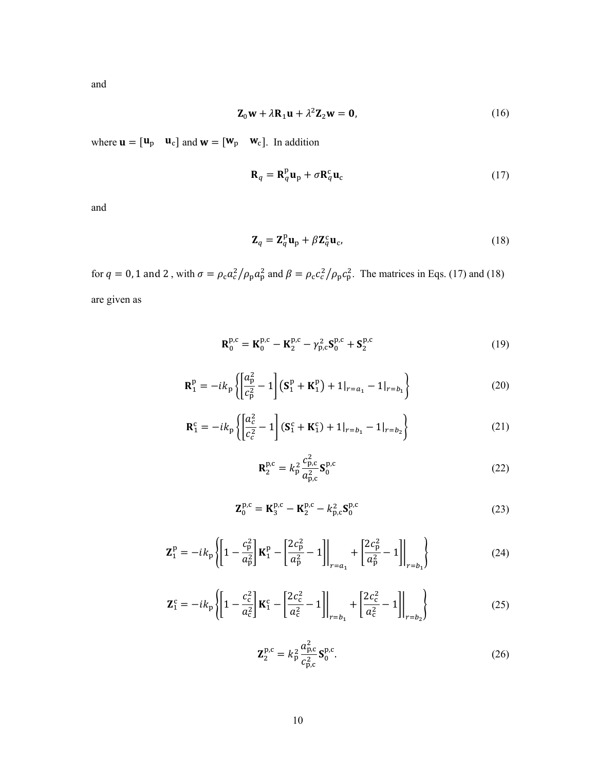and

$$
\mathbf{Z}_0 \mathbf{w} + \lambda \mathbf{R}_1 \mathbf{u} + \lambda^2 \mathbf{Z}_2 \mathbf{w} = \mathbf{0},\tag{16}
$$

where  $\mathbf{u} = [\mathbf{u}_p \quad \mathbf{u}_c]$  and  $\mathbf{w} = [\mathbf{w}_p \quad \mathbf{w}_c]$ . In addition

$$
\mathbf{R}_q = \mathbf{R}_q^{\mathrm{p}} \mathbf{u}_{\mathrm{p}} + \sigma \mathbf{R}_q^{\mathrm{c}} \mathbf{u}_{\mathrm{c}} \tag{17}
$$

and

$$
\mathbf{Z}_q = \mathbf{Z}_q^{\mathrm{p}} \mathbf{u}_{\mathrm{p}} + \beta \mathbf{Z}_q^{\mathrm{c}} \mathbf{u}_{\mathrm{c}},\tag{18}
$$

for  $q = 0$ , 1 and 2, with  $\sigma = \rho_c a_c^2 / \rho_p a_p^2$  and  $\beta = \rho_c c_c^2 / \rho_p c_p^2$ . The matrices in Eqs. (17) and (18) are given as

$$
\mathbf{R}_0^{\text{p},\text{c}} = \mathbf{K}_0^{\text{p},\text{c}} - \mathbf{K}_2^{\text{p},\text{c}} - \gamma_{\text{p},\text{c}}^2 \mathbf{S}_0^{\text{p},\text{c}} + \mathbf{S}_2^{\text{p},\text{c}} \tag{19}
$$

$$
\mathbf{R}_1^{\mathrm{p}} = -ik_{\mathrm{p}} \left\{ \left[ \frac{a_{\mathrm{p}}^2}{c_{\mathrm{p}}^2} - 1 \right] \left( \mathbf{S}_1^{\mathrm{p}} + \mathbf{K}_1^{\mathrm{p}} \right) + 1 \vert_{r = a_1} - 1 \vert_{r = b_1} \right\} \tag{20}
$$

$$
\mathbf{R}_1^c = -ik_p \left\{ \left[ \frac{a_c^2}{c_c^2} - 1 \right] (\mathbf{S}_1^c + \mathbf{K}_1^c) + 1|_{r=b_1} - 1|_{r=b_2} \right\}
$$
 (21)

$$
\mathbf{R}_{2}^{\text{p},c} = k_{\text{p}}^{2} \frac{c_{\text{p},c}^{2}}{a_{\text{p},c}^{2}} \mathbf{S}_{0}^{\text{p},c}
$$
 (22)

$$
\mathbf{Z}_0^{\text{p},\text{c}} = \mathbf{K}_3^{\text{p},\text{c}} - \mathbf{K}_2^{\text{p},\text{c}} - k_{\text{p},\text{c}}^2 \mathbf{S}_0^{\text{p},\text{c}}
$$
(23)

$$
\mathbf{Z}_{1}^{\mathrm{p}} = -ik_{\mathrm{p}} \left\{ \left[ 1 - \frac{c_{\mathrm{p}}^{2}}{a_{\mathrm{p}}^{2}} \right] \mathbf{K}_{1}^{\mathrm{p}} - \left[ \frac{2c_{\mathrm{p}}^{2}}{a_{\mathrm{p}}^{2}} - 1 \right] \Big|_{r=a_{1}} + \left[ \frac{2c_{\mathrm{p}}^{2}}{a_{\mathrm{p}}^{2}} - 1 \right] \Big|_{r=b_{1}} \right\}
$$
(24)

$$
\mathbf{Z}_{1}^{c} = -ik_{p} \left\{ \left[ 1 - \frac{c_{c}^{2}}{a_{c}^{2}} \right] \mathbf{K}_{1}^{c} - \left[ \frac{2c_{c}^{2}}{a_{c}^{2}} - 1 \right] \Big|_{r=b_{1}} + \left[ \frac{2c_{c}^{2}}{a_{c}^{2}} - 1 \right] \Big|_{r=b_{2}} \right\}
$$
(25)

$$
\mathbf{Z}_{2}^{\mathrm{p},\mathrm{c}}=k_{\mathrm{p}}^{2}\frac{a_{\mathrm{p},\mathrm{c}}^{2}}{c_{\mathrm{p},\mathrm{c}}^{2}}\mathbf{S}_{0}^{\mathrm{p},\mathrm{c}}.
$$
 (26)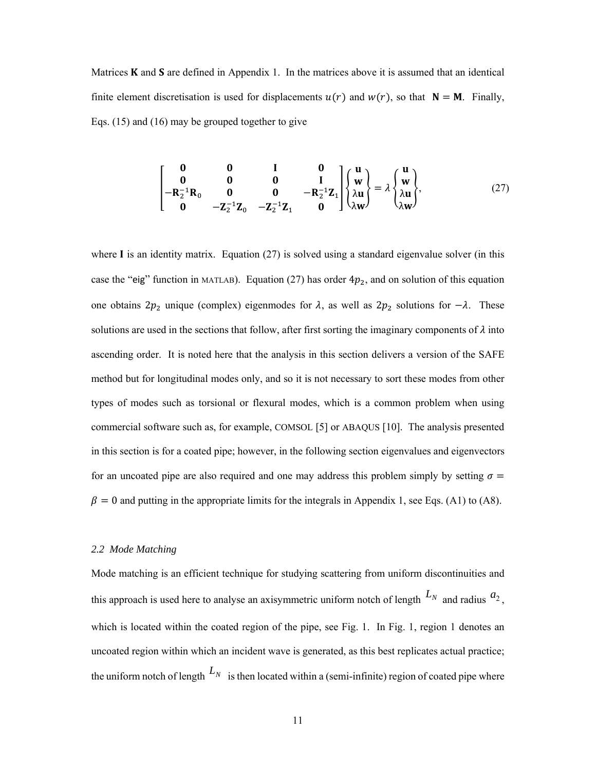Matrices  **and**  $**S**$  **are defined in Appendix 1. In the matrices above it is assumed that an identical** finite element discretisation is used for displacements  $u(r)$  and  $w(r)$ , so that  $\mathbf{N} = \mathbf{M}$ . Finally, Eqs. (15) and (16) may be grouped together to give

$$
\begin{bmatrix}\n0 & 0 & I & 0 \\
0 & 0 & 0 & I \\
-R_2^{-1}R_0 & 0 & 0 & -R_2^{-1}Z_1 \\
0 & -Z_2^{-1}Z_0 & -Z_2^{-1}Z_1 & 0\n\end{bmatrix}\n\begin{bmatrix}\nu \\
w \\
\lambda u \\
\lambda w\n\end{bmatrix} = \lambda\n\begin{Bmatrix}\nu \\
w \\
\lambda u \\
\lambda w\n\end{Bmatrix},
$$
\n(27)

where I is an identity matrix. Equation  $(27)$  is solved using a standard eigenvalue solver (in this case the "eig" function in MATLAB). Equation (27) has order  $4p_2$ , and on solution of this equation one obtains  $2p_2$  unique (complex) eigenmodes for  $\lambda$ , as well as  $2p_2$  solutions for  $-\lambda$ . These solutions are used in the sections that follow, after first sorting the imaginary components of  $\lambda$  into ascending order. It is noted here that the analysis in this section delivers a version of the SAFE method but for longitudinal modes only, and so it is not necessary to sort these modes from other types of modes such as torsional or flexural modes, which is a common problem when using commercial software such as, for example, COMSOL [5] or ABAQUS [10]. The analysis presented in this section is for a coated pipe; however, in the following section eigenvalues and eigenvectors for an uncoated pipe are also required and one may address this problem simply by setting  $\sigma =$  $\beta = 0$  and putting in the appropriate limits for the integrals in Appendix 1, see Eqs. (A1) to (A8).

#### *2.2 Mode Matching*

Mode matching is an efficient technique for studying scattering from uniform discontinuities and this approach is used here to analyse an axisymmetric uniform notch of length  $L_N$  and radius  $a_2$ , which is located within the coated region of the pipe, see Fig. 1. In Fig. 1, region 1 denotes an uncoated region within which an incident wave is generated, as this best replicates actual practice; the uniform notch of length  $L_N$  is then located within a (semi-infinite) region of coated pipe where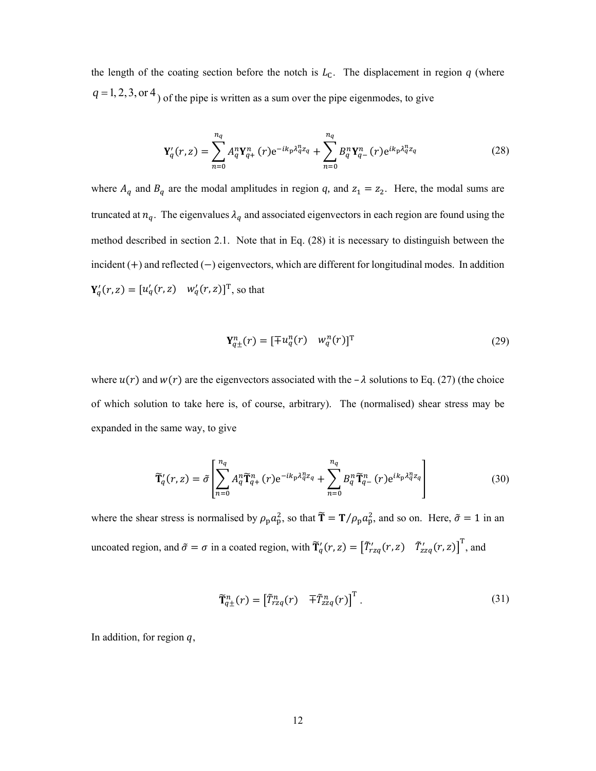the length of the coating section before the notch is  $L_c$ . The displacement in region  $q$  (where  $q = 1, 2, 3,$  or  $4$ ) of the pipe is written as a sum over the pipe eigenmodes, to give

$$
\mathbf{Y}'_q(r,z) = \sum_{n=0}^{n_q} A_q^n \mathbf{Y}_{q+}^n(r) e^{-ik_p \lambda_q^n z_q} + \sum_{n=0}^{n_q} B_q^n \mathbf{Y}_{q-}^n(r) e^{ik_p \lambda_q^n z_q}
$$
(28)

where  $A_q$  and  $B_q$  are the modal amplitudes in region q, and  $z_1 = z_2$ . Here, the modal sums are truncated at  $n_q$ . The eigenvalues  $\lambda_q$  and associated eigenvectors in each region are found using the method described in section 2.1. Note that in Eq. (28) it is necessary to distinguish between the incident  $(+)$  and reflected  $(-)$  eigenvectors, which are different for longitudinal modes. In addition  $Y'_q(r, z) = [u'_q(r, z) \quad w'_q(r, z)]^T$ , so that

$$
\mathbf{Y}_{q\pm}^{n}(r) = [\mp u_q^{n}(r) \quad w_q^{n}(r)]^{\mathrm{T}}
$$
\n(29)

where  $u(r)$  and  $w(r)$  are the eigenvectors associated with the –  $\lambda$  solutions to Eq. (27) (the choice of which solution to take here is, of course, arbitrary). The (normalised) shear stress may be expanded in the same way, to give

$$
\widetilde{\mathbf{T}}_{q}^{\prime}(r,z) = \widetilde{\sigma} \left[ \sum_{n=0}^{n_{q}} A_{q}^{n} \widetilde{\mathbf{T}}_{q+}^{n}(r) e^{-ik_{p}\lambda_{q}^{n}z_{q}} + \sum_{n=0}^{n_{q}} B_{q}^{n} \widetilde{\mathbf{T}}_{q-}^{n}(r) e^{ik_{p}\lambda_{q}^{n}z_{q}} \right]
$$
(30)

where the shear stress is normalised by  $\rho_p a_p^2$ , so that  $\tilde{\mathbf{T}} = \mathbf{T}/\rho_p a_p^2$ , and so on. Here,  $\tilde{\sigma} = 1$  in an uncoated region, and  $\tilde{\sigma} = \sigma$  in a coated region, with  $\tilde{T}_q'(r, z) = [\tilde{T}_{rzq}'(r, z) \tilde{T}_{zzq}'(r, z)]$ , and

$$
\widetilde{\mathbf{T}}_{q\pm}^{n}(r) = \begin{bmatrix} \widetilde{T}_{rzq}^{n}(r) & \overline{\pm} \widetilde{T}_{zzq}^{n}(r) \end{bmatrix}^{\mathrm{T}}.
$$
\n(31)

In addition, for region  $q$ ,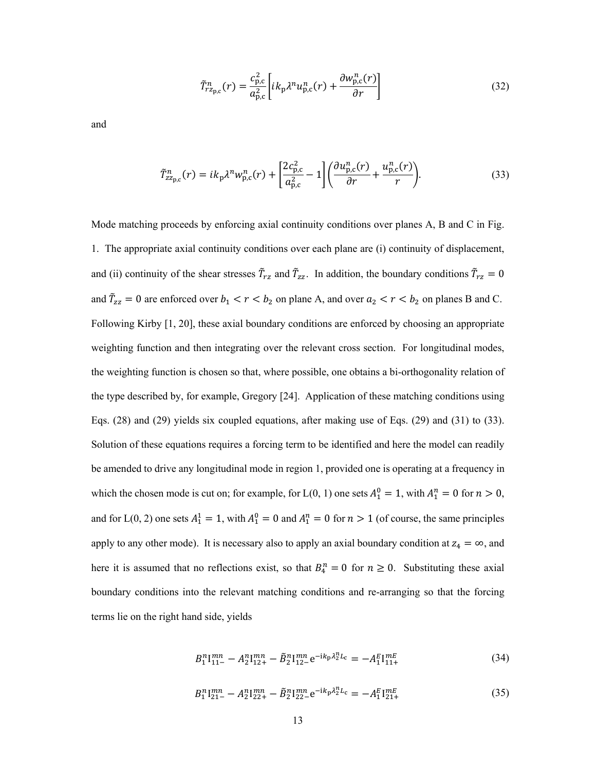$$
\tilde{T}_{r_{\text{z}_{\text{p},\text{c}}}^{n}}^{n}(r) = \frac{c_{\text{p},\text{c}}^{2}}{a_{\text{p},\text{c}}^{2}} \left[ ik_{\text{p}} \lambda^{n} u_{\text{p},\text{c}}^{n}(r) + \frac{\partial w_{\text{p},\text{c}}^{n}(r)}{\partial r} \right]
$$
\n(32)

and

$$
\tilde{T}^{n}_{zz_{\text{p},\text{c}}}(r) = ik_{\text{p}}\lambda^{n}w_{\text{p},\text{c}}^{n}(r) + \left[\frac{2c_{\text{p},\text{c}}^{2}}{a_{\text{p},\text{c}}^{2}} - 1\right] \left(\frac{\partial u_{\text{p},\text{c}}^{n}(r)}{\partial r} + \frac{u_{\text{p},\text{c}}^{n}(r)}{r}\right).
$$
\n(33)

Mode matching proceeds by enforcing axial continuity conditions over planes A, B and C in Fig. 1. The appropriate axial continuity conditions over each plane are (i) continuity of displacement, and (ii) continuity of the shear stresses  $\tilde{T}_{rz}$  and  $\tilde{T}_{zz}$ . In addition, the boundary conditions  $\tilde{T}_{rz} = 0$ and  $\tilde{T}_{zz} = 0$  are enforced over  $b_1 < r < b_2$  on plane A, and over  $a_2 < r < b_2$  on planes B and C. Following Kirby [1, 20], these axial boundary conditions are enforced by choosing an appropriate weighting function and then integrating over the relevant cross section. For longitudinal modes, the weighting function is chosen so that, where possible, one obtains a bi-orthogonality relation of the type described by, for example, Gregory [24]. Application of these matching conditions using Eqs. (28) and (29) yields six coupled equations, after making use of Eqs. (29) and (31) to (33). Solution of these equations requires a forcing term to be identified and here the model can readily be amended to drive any longitudinal mode in region 1, provided one is operating at a frequency in which the chosen mode is cut on; for example, for L(0, 1) one sets  $A_1^0 = 1$ , with  $A_1^n = 0$  for  $n > 0$ , and for L(0, 2) one sets  $A_1^1 = 1$ , with  $A_1^0 = 0$  and  $A_1^n = 0$  for  $n > 1$  (of course, the same principles apply to any other mode). It is necessary also to apply an axial boundary condition at  $z_4 = \infty$ , and here it is assumed that no reflections exist, so that  $B_4^n = 0$  for  $n \ge 0$ . Substituting these axial boundary conditions into the relevant matching conditions and re-arranging so that the forcing terms lie on the right hand side, yields

$$
B_1^n 1_{11-}^{mn} - A_2^n 1_{12+}^{mn} - \tilde{B}_2^n 1_{12-}^{mn} e^{-ik_p \lambda_2^n L_c} = -A_1^E 1_{11+}^{mE}
$$
 (34)

$$
B_1^n I_{21-}^{mn} - A_2^n I_{22+}^{mn} - \tilde{B}_2^n I_{22-}^{mn} e^{-ik_p \lambda_2^n L_c} = -A_1^E I_{21+}^{mE}
$$
 (35)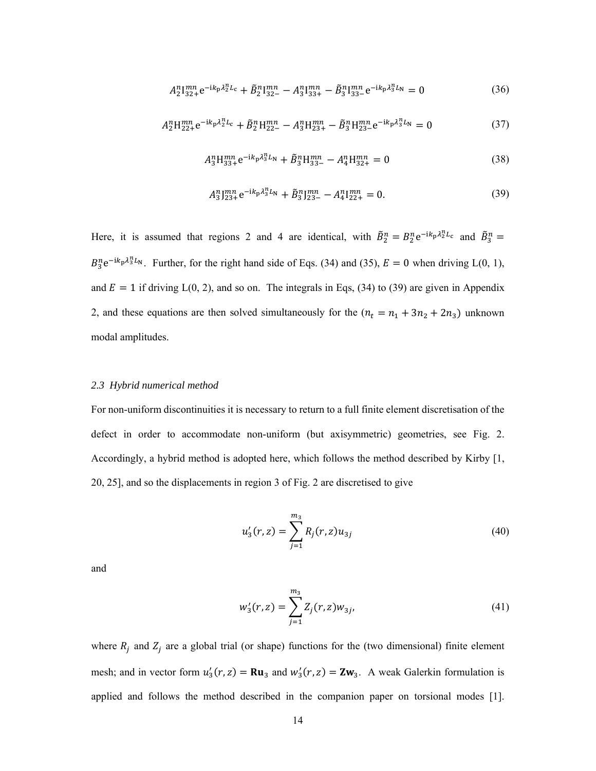$$
A_2^n 1_{32+}^{mn} e^{-ik_p \lambda_2^n L_c} + \tilde{B}_2^n 1_{32-}^{mn} - A_3^n 1_{33+}^{mn} - \tilde{B}_3^n 1_{33-}^{mn} e^{-ik_p \lambda_3^n L_n} = 0
$$
 (36)

$$
A_2^n H_{22+}^{mn} e^{-ik_p \lambda_2^n L_c} + \tilde{B}_2^n H_{22-}^{mn} - A_3^n H_{23+}^{mn} - \tilde{B}_3^n H_{23-}^{mn} e^{-ik_p \lambda_3^n L_N} = 0
$$
\n(37)

$$
A_3^n H_{33+}^{mn} e^{-ik_p \lambda_3^n L_N} + \tilde{B}_3^n H_{33-}^{mn} - A_4^n H_{32+}^{mn} = 0
$$
 (38)

$$
A_3^n1_{23+}^{mn}e^{-ik_p\lambda_3^nL_N} + \tilde{B}_3^n1_{23-}^{mn} - A_4^n1_{22+}^{mn} = 0.
$$
 (39)

Here, it is assumed that regions 2 and 4 are identical, with  $\tilde{B}_2^n = B_2^n e^{-ik_p \lambda_2^n L_c}$  and  $\tilde{B}_3^n =$  $B_3^n e^{-ik_p \lambda_3^n L_N}$ . Further, for the right hand side of Eqs. (34) and (35),  $E = 0$  when driving L(0, 1), and  $E = 1$  if driving  $L(0, 2)$ , and so on. The integrals in Eqs, (34) to (39) are given in Appendix 2, and these equations are then solved simultaneously for the  $(n_t = n_1 + 3n_2 + 2n_3)$  unknown modal amplitudes.

#### *2.3 Hybrid numerical method*

For non-uniform discontinuities it is necessary to return to a full finite element discretisation of the defect in order to accommodate non-uniform (but axisymmetric) geometries, see Fig. 2. Accordingly, a hybrid method is adopted here, which follows the method described by Kirby [1, 20, 25], and so the displacements in region 3 of Fig. 2 are discretised to give

$$
u_3'(r,z) = \sum_{j=1}^{m_3} R_j(r,z) u_{3j}
$$
 (40)

and

$$
w_3'(r, z) = \sum_{j=1}^{m_3} Z_j(r, z) w_{3j},
$$
\n(41)

where  $R_j$  and  $Z_j$  are a global trial (or shape) functions for the (two dimensional) finite element mesh; and in vector form  $u'_3(r, z) = \mathbf{R} \mathbf{u}_3$  and  $w'_3(r, z) = \mathbf{Z} \mathbf{w}_3$ . A weak Galerkin formulation is applied and follows the method described in the companion paper on torsional modes [1].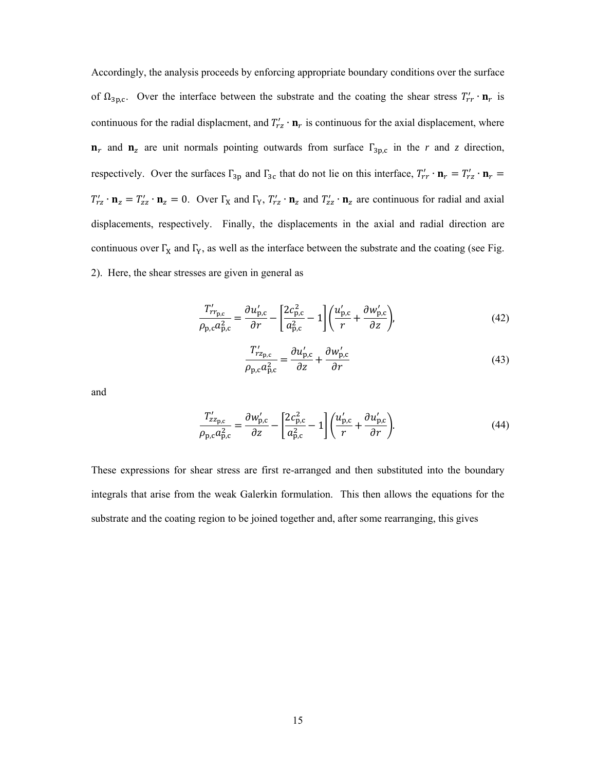Accordingly, the analysis proceeds by enforcing appropriate boundary conditions over the surface of  $\Omega_{3p,c}$ . Over the interface between the substrate and the coating the shear stress  $T'_{rr} \cdot \mathbf{n}_r$  is continuous for the radial displacment, and  $T'_{rz} \cdot \mathbf{n}_r$  is continuous for the axial displacement, where  $n_r$  and  $n_z$  are unit normals pointing outwards from surface  $\Gamma_{3p,c}$  in the *r* and *z* direction, respectively. Over the surfaces  $\Gamma_{3p}$  and  $\Gamma_{3c}$  that do not lie on this interface,  $T'_{rr} \cdot \mathbf{n}_r = T'_{rz} \cdot \mathbf{n}_r =$  $T'_{rz} \cdot \mathbf{n}_z = T'_{zz} \cdot \mathbf{n}_z = 0$ . Over  $\Gamma_X$  and  $\Gamma_Y$ ,  $T'_{rz} \cdot \mathbf{n}_z$  and  $T'_{zz} \cdot \mathbf{n}_z$  are continuous for radial and axial displacements, respectively. Finally, the displacements in the axial and radial direction are continuous over  $\Gamma_X$  and  $\Gamma_Y$ , as well as the interface between the substrate and the coating (see Fig. 2). Here, the shear stresses are given in general as

$$
\frac{T'_{rr_{\mathbf{p},\mathbf{c}}}}{\rho_{\mathbf{p},\mathbf{c}}a_{\mathbf{p},\mathbf{c}}^2} = \frac{\partial u'_{\mathbf{p},\mathbf{c}}}{\partial r} - \left[\frac{2c_{\mathbf{p},\mathbf{c}}^2}{a_{\mathbf{p},\mathbf{c}}^2} - 1\right] \left(\frac{u'_{\mathbf{p},\mathbf{c}}}{r} + \frac{\partial w'_{\mathbf{p},\mathbf{c}}}{\partial z}\right),\tag{42}
$$

$$
\frac{T'_{r_{z_{p,c}}}}{\rho_{p,c} a_{p,c}^2} = \frac{\partial u'_{p,c}}{\partial z} + \frac{\partial w'_{p,c}}{\partial r}
$$
\n(43)

and

$$
\frac{T'_{zz_{\text{p},c}}}{\rho_{\text{p},c}a_{\text{p},c}^2} = \frac{\partial w'_{\text{p},c}}{\partial z} - \left[\frac{2c_{\text{p},c}^2}{a_{\text{p},c}^2} - 1\right] \left(\frac{u'_{\text{p},c}}{r} + \frac{\partial u'_{\text{p},c}}{\partial r}\right).
$$
(44)

These expressions for shear stress are first re-arranged and then substituted into the boundary integrals that arise from the weak Galerkin formulation. This then allows the equations for the substrate and the coating region to be joined together and, after some rearranging, this gives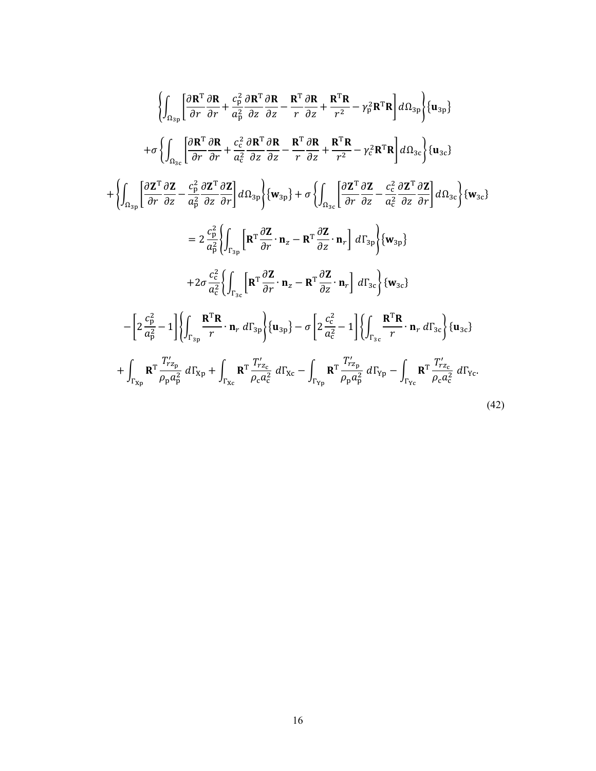$$
\begin{split}\n&\left\{\int_{\Omega_{3p}}\left[\frac{\partial \mathbf{R}^{T} \partial \mathbf{R}}{\partial r}+\frac{c_{p}^{2}}{a_{p}^{2}}\frac{\partial \mathbf{R}^{T} \partial \mathbf{R}}{\partial z}-\frac{\mathbf{R}^{T} \partial \mathbf{R}}{r}\frac{\partial \mathbf{R}}{\partial z}+\frac{\mathbf{R}^{T} \mathbf{R}}{r^{2}}- \gamma_{p}^{2} \mathbf{R}^{T} \mathbf{R}\right]d\Omega_{3p}\right\}+ \n\sigma\left\{\int_{\Omega_{3c}}\left[\frac{\partial \mathbf{R}^{T} \partial \mathbf{R}}{\partial r}+\frac{c_{c}^{2}}{a_{c}^{2}}\frac{\partial \mathbf{R}^{T} \partial \mathbf{R}}{\partial z}-\frac{\mathbf{R}^{T} \partial \mathbf{R}}{r}\frac{\partial \mathbf{R}}{\partial z}+\frac{\mathbf{R}^{T} \mathbf{R}}{r^{2}}- \gamma_{c}^{2} \mathbf{R}^{T} \mathbf{R}\right]d\Omega_{3c}\right\} \{\mathbf{u}_{3c}\}\n\\
&+ \left\{\int_{\Omega_{3p}}\left[\frac{\partial \mathbf{Z}^{T} \partial \mathbf{Z}}{\partial r}-\frac{c_{p}^{2}}{a_{p}^{2}}\frac{\partial \mathbf{Z}^{T}}{\partial z}\frac{\partial \mathbf{Z}}{\partial r}\right]d\Omega_{3p}\right\} \{\mathbf{w}_{3p}\} + \sigma\left\{\int_{\Omega_{3c}}\left[\frac{\partial \mathbf{Z}^{T} \partial \mathbf{Z}}{\partial r}-\frac{c_{c}^{2}}{a_{c}^{2}}\frac{\partial \mathbf{Z}^{T}}{\partial z}\frac{\partial \mathbf{Z}}{\partial r}\right]d\Omega_{3c}\right\} \{\mathbf{w}_{3c}\}\n\\
&= 2\frac{c_{p}^{2}}{a_{p}^{2}}\right\}\int_{\Gamma_{3p}}\left[\mathbf{R}^{T}\frac{\partial \mathbf{Z}}{\partial r}\cdot \mathbf{n}_{z}-\mathbf{R}^{T}\frac{\partial \mathbf{Z}}{\partial z}\cdot \mathbf{n}_{r}\right]d\Gamma_{3p}\right\} \{\mathbf{w}_{3p}\}\n\\
&+2\sigma\frac{c_{c}^{2}}{a_{c}^{2}}\left\{\int_{\Gamma_{3c
$$

16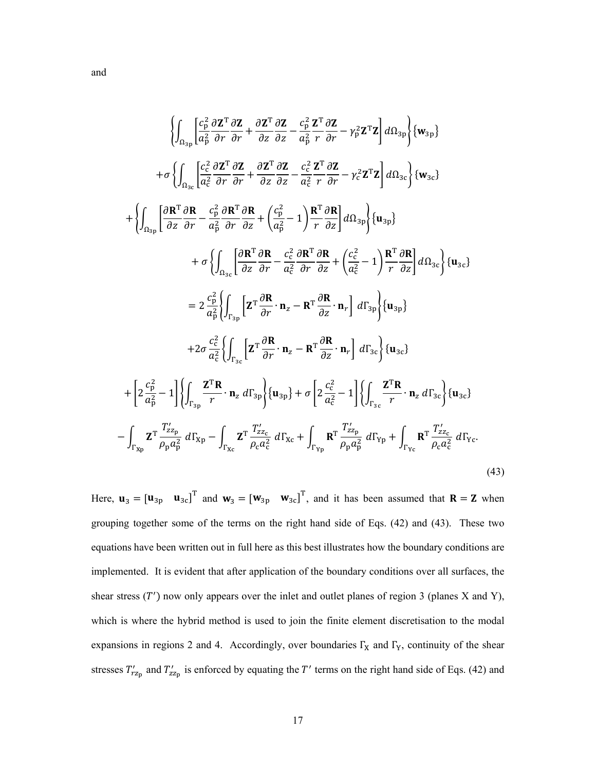$$
\begin{split}\n&\left\{\int_{\Omega_{3\text{p}}}\left[\frac{c_{\text{p}}^{2}}{\alpha_{\text{p}}^{2}}\frac{\partial \mathbf{Z}}{\partial r}+\frac{\partial \mathbf{Z}^{\text{T}}}{\partial z}\frac{\partial \mathbf{Z}}{\partial z}-\frac{c_{\text{p}}^{2}}{\alpha_{\text{p}}^{2}}\frac{\partial \mathbf{Z}}{\partial r}-\gamma_{\text{p}}^{2}\mathbf{Z}^{\text{T}}\mathbf{Z}\right]d\Omega_{3\text{p}}\right\}\{\mathbf{w}_{3\text{p}}\} \\
&+\sigma\left\{\int_{\Omega_{3\text{c}}}\left[\frac{c_{\text{c}}^{2}}{\alpha_{\text{c}}^{2}}\frac{\partial \mathbf{Z}}{\partial r}\frac{\partial \mathbf{Z}}{\partial r}+\frac{\partial \mathbf{Z}^{\text{T}}}{\partial z}\frac{\partial \mathbf{Z}}{\partial z}-\frac{c_{\text{c}}^{2}}{\alpha_{\text{c}}^{2}}\frac{\partial \mathbf{Z}}{r}\frac{\partial \mathbf{Z}}{\partial r}-\gamma_{\text{c}}^{2}\mathbf{Z}^{\text{T}}\mathbf{Z}\right]d\Omega_{3\text{c}}\right\}\{\mathbf{w}_{3\text{c}}\} \\
&+\left\{\int_{\Omega_{3\text{p}}}\left[\frac{\partial \mathbf{R}^{\text{T}}}{\partial z}\frac{\partial \mathbf{R}}{\partial r}-\frac{c_{\text{p}}^{2}}{\alpha_{\text{p}}^{2}}\frac{\partial \mathbf{R}}{\partial r}+\frac{c_{\text{p}}^{2}}{\alpha_{\text{p}}^{2}}-1\right)\frac{\mathbf{R}^{\text{T}}}{r}\frac{\partial \mathbf{R}}{\partial z}\right]d\Omega_{3\text{p}}\right\}\{\mathbf{u}_{3\text{c}}\} \\
&+\sigma\left\{\int_{\Omega_{3\text{c}}}\left[\frac{\partial \mathbf{R}^{\text{T}}}{\partial z}\frac{\partial \mathbf{R}}{\partial r}-\frac{c_{\text{c}}^{2}}{\alpha_{\text{c}}^{2}}\frac{\partial \mathbf{R}^{\text{T}}}{\partial r}\frac{\partial \mathbf{R}}{\partial z}+\left(\frac{c_{\text{c}}^{2}}{c_{\text{c}}^{2}}-1\right)\frac{\mathbf{R}^{\text{T}}}{r}\frac{\partial \mathbf{R}}{\partial z}\right]d\Omega_{3\text{c
$$

Here,  $\mathbf{u}_3 = [\mathbf{u}_{3p} \quad \mathbf{u}_{3c}]^\text{T}$  and  $\mathbf{w}_3 = [\mathbf{w}_{3p} \quad \mathbf{w}_{3c}]^\text{T}$ , and it has been assumed that  $\mathbf{R} = \mathbf{Z}$  when grouping together some of the terms on the right hand side of Eqs. (42) and (43). These two equations have been written out in full here as this best illustrates how the boundary conditions are implemented. It is evident that after application of the boundary conditions over all surfaces, the shear stress  $(T')$  now only appears over the inlet and outlet planes of region 3 (planes X and Y), which is where the hybrid method is used to join the finite element discretisation to the modal expansions in regions 2 and 4. Accordingly, over boundaries  $\Gamma_X$  and  $\Gamma_Y$ , continuity of the shear stresses  $T_{r_{Z_p}}'$  and  $T_{z_{Z_p}}'$  is enforced by equating the T' terms on the right hand side of Eqs. (42) and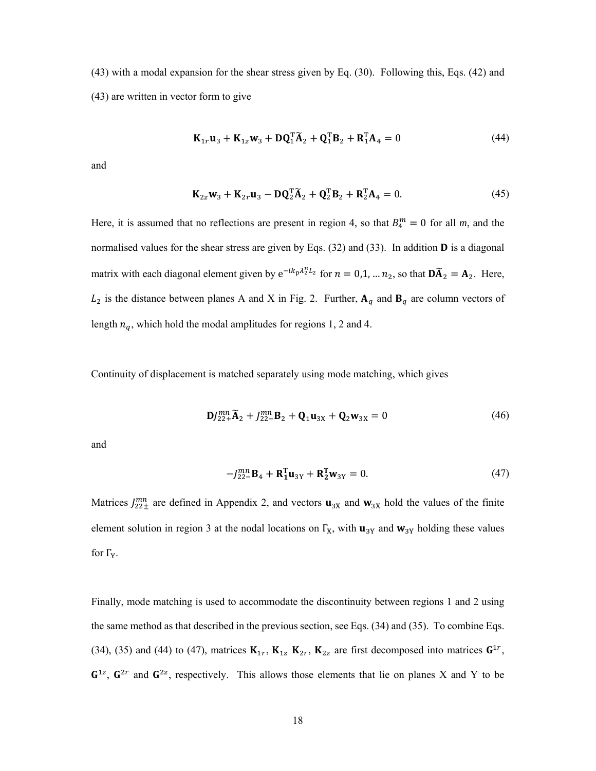(43) with a modal expansion for the shear stress given by Eq. (30). Following this, Eqs. (42) and (43) are written in vector form to give

$$
\mathbf{K}_{1r}\mathbf{u}_3 + \mathbf{K}_{1z}\mathbf{w}_3 + \mathbf{D}\mathbf{Q}_1^{\mathrm{T}}\widetilde{\mathbf{A}}_2 + \mathbf{Q}_1^{\mathrm{T}}\mathbf{B}_2 + \mathbf{R}_1^{\mathrm{T}}\mathbf{A}_4 = 0 \tag{44}
$$

and

$$
\mathbf{K}_{2z}\mathbf{w}_3 + \mathbf{K}_{2r}\mathbf{u}_3 - \mathbf{D}\mathbf{Q}_2^{\mathrm{T}}\widetilde{\mathbf{A}}_2 + \mathbf{Q}_2^{\mathrm{T}}\mathbf{B}_2 + \mathbf{R}_2^{\mathrm{T}}\mathbf{A}_4 = 0.
$$
 (45)

Here, it is assumed that no reflections are present in region 4, so that  $B_4^m = 0$  for all m, and the normalised values for the shear stress are given by Eqs.  $(32)$  and  $(33)$ . In addition **D** is a diagonal matrix with each diagonal element given by  $e^{-ik_p\lambda_2^nL_2}$  for  $n = 0,1, ..., n_2$ , so that  $\mathbf{D}\widetilde{A}_2 = \mathbf{A}_2$ . Here,  $L_2$  is the distance between planes A and X in Fig. 2. Further,  $A_q$  and  $B_q$  are column vectors of length  $n_q$ , which hold the modal amplitudes for regions 1, 2 and 4.

Continuity of displacement is matched separately using mode matching, which gives

$$
\mathbf{D}J_{22+}^{mn}\widetilde{\mathbf{A}}_2 + J_{22-}^{mn}\mathbf{B}_2 + \mathbf{Q}_1\mathbf{u}_{3X} + \mathbf{Q}_2\mathbf{w}_{3X} = 0
$$
\n(46)

and

$$
-J_{22-}^{mn}\mathbf{B}_4 + \mathbf{R}_1^{\mathsf{T}}\mathbf{u}_{3Y} + \mathbf{R}_2^{\mathsf{T}}\mathbf{w}_{3Y} = 0.
$$
 (47)

Matrices  $J_{22\pm}^{mn}$  are defined in Appendix 2, and vectors  $\mathbf{u}_{3X}$  and  $\mathbf{w}_{3X}$  hold the values of the finite element solution in region 3 at the nodal locations on  $\Gamma_X$ , with  $\mathbf{u}_{3Y}$  and  $\mathbf{w}_{3Y}$  holding these values for  $\Gamma_Y$ .

Finally, mode matching is used to accommodate the discontinuity between regions 1 and 2 using the same method as that described in the previous section, see Eqs. (34) and (35). To combine Eqs. (34), (35) and (44) to (47), matrices  $\mathbf{K}_{1r}$ ,  $\mathbf{K}_{1z}$   $\mathbf{K}_{2r}$ ,  $\mathbf{K}_{2z}$  are first decomposed into matrices  $\mathbf{G}^{1r}$ ,  $G^{1z}$ ,  $G^{2r}$  and  $G^{2z}$ , respectively. This allows those elements that lie on planes X and Y to be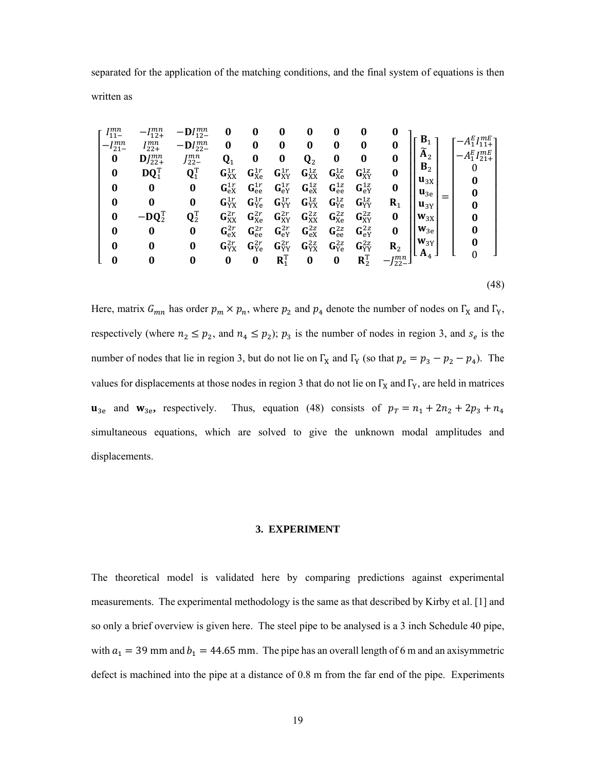separated for the application of the matching conditions, and the final system of equations is then written as

| $\mathbf{r}$<br>$1_{11-}$ | $-l_{12+}^{mn}$               | $-DI_{12-}^{mn}$            | 0                               | 0                             | 0                           | $\bf{0}$          | 0                       | 0                           | 0               |                                        |                       |      |
|---------------------------|-------------------------------|-----------------------------|---------------------------------|-------------------------------|-----------------------------|-------------------|-------------------------|-----------------------------|-----------------|----------------------------------------|-----------------------|------|
| $I_{21-}^{mn}$            | $I_{22+}^{mn}$                | $-DI_{22-}^{mn}$            | 0                               | 0                             | $\boldsymbol{0}$            | $\bf{0}$          | 0                       | 0                           | 0               | $B_{1}$                                | $-A_1^E I_{11+}^{mE}$ |      |
| $\bf{0}$                  | $\mathbf{D}J_{22+}^{mn}$      | $J_{22-}^{mn}$              | $\mathbf{Q}_1$                  | $\bf{0}$                      | $\boldsymbol{0}$            | ${\bf Q}_2$       | $\bf{0}$                | 0                           | $\bf{0}$        | $\widetilde{\textbf{A}}_2$             | $-A_1^E I_{21+}^{mE}$ |      |
| $\bf{0}$                  | $\mathbf{DQ}_1^{\mathrm{T}}$  | $\mathbf{Q}_1^{\text{T}}$   | $\mathbf{G}_{\mathrm{XX}}^{1r}$ | $\mathbf{G}_{\text{Xe}}^{1r}$ | $\mathbf{G}^{1r}_{XY}$      | $G_{XX}^{1z}$     | $G_{Xe}^{1z}$           | $G_{XY}^{1z}$               | $\bf{0}$        | $B_{2}$                                | 0                     |      |
| $\bf{0}$                  | $\bf{0}$                      | $\bf{0}$                    | $G_{\rm eX}^{1r}$               | $G_{ee}^{1r}$                 | $G_{eY}^{1r}$               | $G_{\rm eX}^{1z}$ | $\mathbf{G}_{ee}^{1z}$  | $G_{\rm eY}^{1z}$           | 0               | $\mathbf{u}_{3X}$<br>$\mathbf{u}_{3e}$ | 0<br>0                |      |
| $\bf{0}$                  | 0                             | $\bf{0}$                    | $\mathbf{G}^{1r}_{\rm YX}$      | $\mathbf{G}_{\text{Ye}}^{1r}$ | $\mathbf{G}^{1r}_{YY}$      | $G_{YX}^{1z}$     | ${\bf G}^{1z}_{\rm Ye}$ | ${\bf G}^{1z}_{\rm YY}$     | $\mathbf{R}_1$  | $\mathbf{u}_{3Y}$                      | 0                     |      |
| $\bf{0}$                  | $-\mathbf{DQ}_2^{\mathrm{T}}$ | $\mathbf{Q}_2^{\mathrm{T}}$ | $\mathbf{G}_{\mathrm{XX}}^{2r}$ | $G_{Xe}^{2r}$                 | ${\bf G}^{2r}_{\rm XY}$     | $G^{2z}_{XX}$     | $G_{Xe}^{2z}$           | $G_{XY}^{2z}$               | 0               | $W_{3X}$                               | 0                     |      |
| $\bf{0}$                  | 0                             | 0                           | $G_{\rm eX}^{2r}$               | $G_{ee}^{2r}$                 | $G_{eY}^{2r}$               | $G_{\rm eX}^{2z}$ | $G_{ee}^{2z}$           | $G_{eY}^{2z}$               | $\bf{0}$        | $W_{3e}$                               | 0                     |      |
| $\bf{0}$                  | 0                             | 0                           | ${\bf G}^{2r}_{\rm YX}$         | ${\bf G}_{\rm Ye}^{2r}$       | $\mathbf{G}^{2r}_{\rm YY}$  | $G_{YX}^{2z}$     | $G_{Ye}^{2z}$           | ${\bf G}^{2z}_{YY}$         | $R_{2}$         | $W_{3Y}$                               | 0                     |      |
| 0                         | 0                             | 0                           | $\bf{0}$                        | $\bf{0}$                      | $\mathbf{R}^{\mathrm{T}}_1$ | $\bf{0}$          | $\boldsymbol{0}$        | $\mathbf{R}^{\mathrm{T}}_2$ | $-J_{22-}^{mn}$ | $A_4$                                  |                       |      |
|                           |                               |                             |                                 |                               |                             |                   |                         |                             |                 |                                        |                       |      |
|                           |                               |                             |                                 |                               |                             |                   |                         |                             |                 |                                        |                       | (48) |

Here, matrix  $G_{mn}$  has order  $p_m \times p_n$ , where  $p_2$  and  $p_4$  denote the number of nodes on  $\Gamma_X$  and  $\Gamma_Y$ , respectively (where  $n_2 \leq p_2$ , and  $n_4 \leq p_2$ );  $p_3$  is the number of nodes in region 3, and  $s_e$  is the number of nodes that lie in region 3, but do not lie on  $\Gamma_X$  and  $\Gamma_Y$  (so that  $p_e = p_3 - p_2 - p_4$ ). The values for displacements at those nodes in region 3 that do not lie on  $\Gamma_X$  and  $\Gamma_Y$ , are held in matrices  $\mathbf{u}_{3e}$  and  $\mathbf{w}_{3e}$ , respectively. Thus, equation (48) consists of  $p_T = n_1 + 2n_2 + 2p_3 + n_4$ simultaneous equations, which are solved to give the unknown modal amplitudes and displacements.

#### **3. EXPERIMENT**

The theoretical model is validated here by comparing predictions against experimental measurements. The experimental methodology is the same as that described by Kirby et al. [1] and so only a brief overview is given here. The steel pipe to be analysed is a 3 inch Schedule 40 pipe, with  $a_1 = 39$  mm and  $b_1 = 44.65$  mm. The pipe has an overall length of 6 m and an axisymmetric defect is machined into the pipe at a distance of 0.8 m from the far end of the pipe. Experiments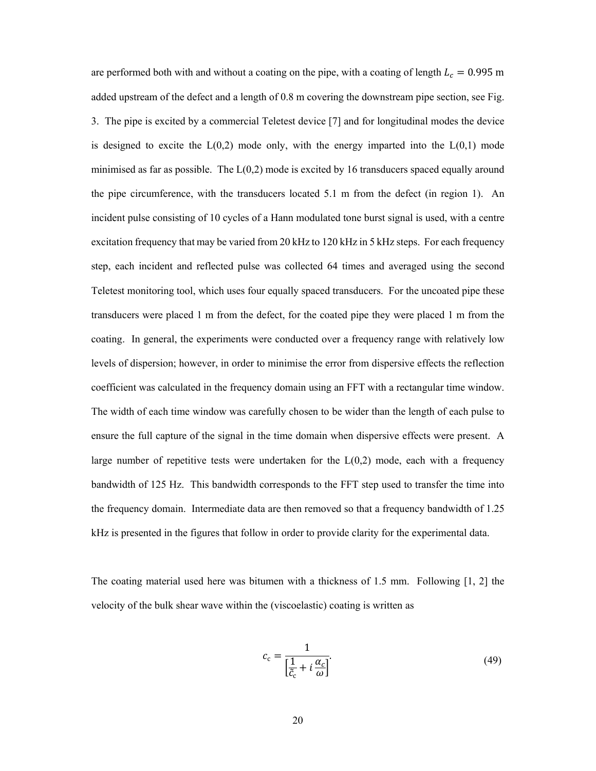are performed both with and without a coating on the pipe, with a coating of length  $L_c = 0.995$  m added upstream of the defect and a length of 0.8 m covering the downstream pipe section, see Fig. 3. The pipe is excited by a commercial Teletest device [7] and for longitudinal modes the device is designed to excite the  $L(0,2)$  mode only, with the energy imparted into the  $L(0,1)$  mode minimised as far as possible. The  $L(0,2)$  mode is excited by 16 transducers spaced equally around the pipe circumference, with the transducers located 5.1 m from the defect (in region 1). An incident pulse consisting of 10 cycles of a Hann modulated tone burst signal is used, with a centre excitation frequency that may be varied from 20 kHz to 120 kHz in 5 kHz steps. For each frequency step, each incident and reflected pulse was collected 64 times and averaged using the second Teletest monitoring tool, which uses four equally spaced transducers. For the uncoated pipe these transducers were placed 1 m from the defect, for the coated pipe they were placed 1 m from the coating. In general, the experiments were conducted over a frequency range with relatively low levels of dispersion; however, in order to minimise the error from dispersive effects the reflection coefficient was calculated in the frequency domain using an FFT with a rectangular time window. The width of each time window was carefully chosen to be wider than the length of each pulse to ensure the full capture of the signal in the time domain when dispersive effects were present. A large number of repetitive tests were undertaken for the  $L(0,2)$  mode, each with a frequency bandwidth of 125 Hz. This bandwidth corresponds to the FFT step used to transfer the time into the frequency domain. Intermediate data are then removed so that a frequency bandwidth of 1.25 kHz is presented in the figures that follow in order to provide clarity for the experimental data.

The coating material used here was bitumen with a thickness of 1.5 mm. Following [1, 2] the velocity of the bulk shear wave within the (viscoelastic) coating is written as

$$
c_{c} = \frac{1}{\left[\frac{1}{\tilde{c}_{c}} + i\frac{\alpha_{c}}{\omega}\right]}.
$$
\n(49)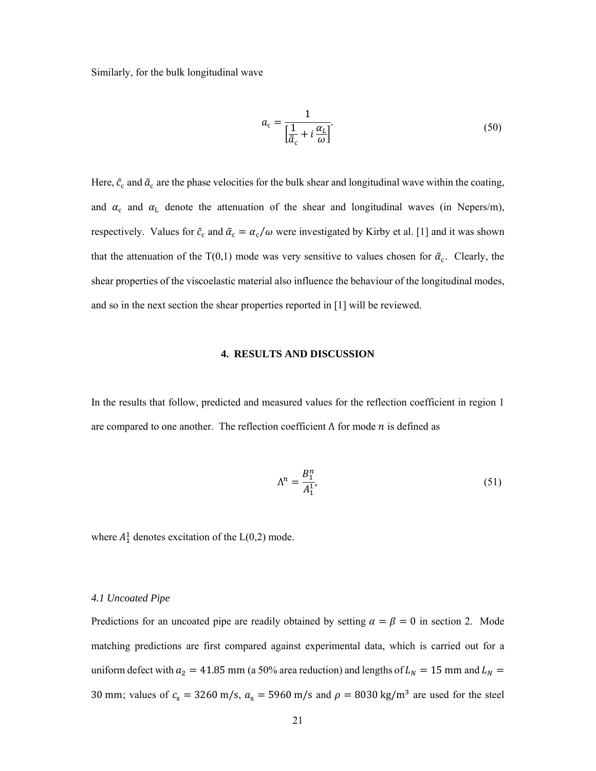Similarly, for the bulk longitudinal wave

$$
a_{c} = \frac{1}{\left[\frac{1}{\tilde{a}_{c}} + i\frac{\alpha_{L}}{\omega}\right]}.
$$
\n(50)

Here,  $\tilde{c}_c$  and  $\tilde{a}_c$  are the phase velocities for the bulk shear and longitudinal wave within the coating, and  $\alpha_c$  and  $\alpha_L$  denote the attenuation of the shear and longitudinal waves (in Nepers/m), respectively. Values for  $\tilde{c}_c$  and  $\tilde{\alpha}_c = \alpha_c/\omega$  were investigated by Kirby et al. [1] and it was shown that the attenuation of the T(0,1) mode was very sensitive to values chosen for  $\tilde{\alpha}_c$ . Clearly, the shear properties of the viscoelastic material also influence the behaviour of the longitudinal modes, and so in the next section the shear properties reported in [1] will be reviewed.

## **4. RESULTS AND DISCUSSION**

In the results that follow, predicted and measured values for the reflection coefficient in region 1 are compared to one another. The reflection coefficient  $\Lambda$  for mode  $n$  is defined as

$$
\Lambda^n = \frac{B_1^n}{A_1^1}.\tag{51}
$$

where  $A_1^1$  denotes excitation of the  $L(0,2)$  mode.

## *4.1 Uncoated Pipe*

Predictions for an uncoated pipe are readily obtained by setting  $\alpha = \beta = 0$  in section 2. Mode matching predictions are first compared against experimental data, which is carried out for a uniform defect with  $a_2 = 41.85$  mm (a 50% area reduction) and lengths of  $L_N = 15$  mm and  $L_N =$ 30 mm; values of  $c_s = 3260$  m/s,  $a_s = 5960$  m/s and  $\rho = 8030$  kg/m<sup>3</sup> are used for the steel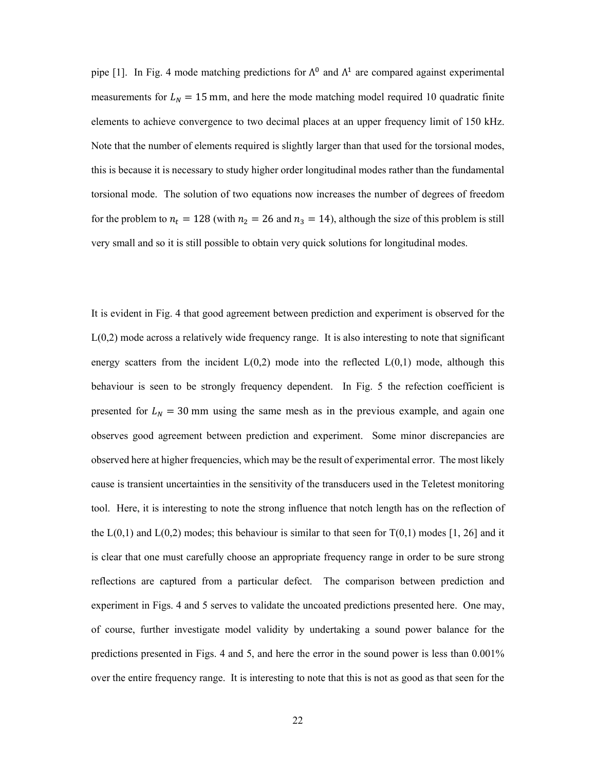pipe [1]. In Fig. 4 mode matching predictions for  $\Lambda^0$  and  $\Lambda^1$  are compared against experimental measurements for  $L_N = 15$  mm, and here the mode matching model required 10 quadratic finite elements to achieve convergence to two decimal places at an upper frequency limit of 150 kHz. Note that the number of elements required is slightly larger than that used for the torsional modes, this is because it is necessary to study higher order longitudinal modes rather than the fundamental torsional mode. The solution of two equations now increases the number of degrees of freedom for the problem to  $n_t = 128$  (with  $n_2 = 26$  and  $n_3 = 14$ ), although the size of this problem is still very small and so it is still possible to obtain very quick solutions for longitudinal modes.

It is evident in Fig. 4 that good agreement between prediction and experiment is observed for the L(0,2) mode across a relatively wide frequency range. It is also interesting to note that significant energy scatters from the incident  $L(0,2)$  mode into the reflected  $L(0,1)$  mode, although this behaviour is seen to be strongly frequency dependent. In Fig. 5 the refection coefficient is presented for  $L_N = 30$  mm using the same mesh as in the previous example, and again one observes good agreement between prediction and experiment. Some minor discrepancies are observed here at higher frequencies, which may be the result of experimental error. The most likely cause is transient uncertainties in the sensitivity of the transducers used in the Teletest monitoring tool. Here, it is interesting to note the strong influence that notch length has on the reflection of the  $L(0,1)$  and  $L(0,2)$  modes; this behaviour is similar to that seen for  $T(0,1)$  modes [1, 26] and it is clear that one must carefully choose an appropriate frequency range in order to be sure strong reflections are captured from a particular defect. The comparison between prediction and experiment in Figs. 4 and 5 serves to validate the uncoated predictions presented here. One may, of course, further investigate model validity by undertaking a sound power balance for the predictions presented in Figs. 4 and 5, and here the error in the sound power is less than 0.001% over the entire frequency range. It is interesting to note that this is not as good as that seen for the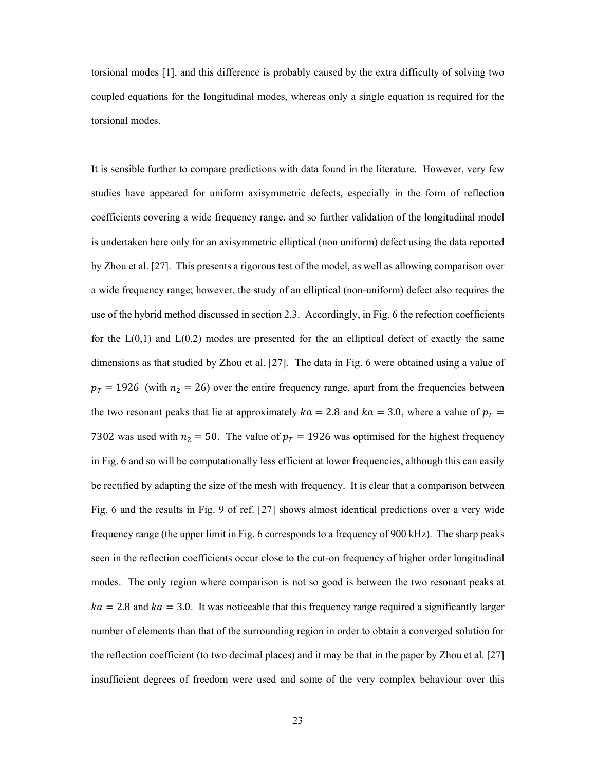torsional modes [1], and this difference is probably caused by the extra difficulty of solving two coupled equations for the longitudinal modes, whereas only a single equation is required for the torsional modes.

It is sensible further to compare predictions with data found in the literature. However, very few studies have appeared for uniform axisymmetric defects, especially in the form of reflection coefficients covering a wide frequency range, and so further validation of the longitudinal model is undertaken here only for an axisymmetric elliptical (non uniform) defect using the data reported by Zhou et al. [27]. This presents a rigorous test of the model, as well as allowing comparison over a wide frequency range; however, the study of an elliptical (non-uniform) defect also requires the use of the hybrid method discussed in section 2.3. Accordingly, in Fig. 6 the refection coefficients for the  $L(0,1)$  and  $L(0,2)$  modes are presented for the an elliptical defect of exactly the same dimensions as that studied by Zhou et al. [27]. The data in Fig. 6 were obtained using a value of  $p_T = 1926$  (with  $n_2 = 26$ ) over the entire frequency range, apart from the frequencies between the two resonant peaks that lie at approximately  $ka = 2.8$  and  $ka = 3.0$ , where a value of  $p_T =$ 7302 was used with  $n_2 = 50$ . The value of  $p_T = 1926$  was optimised for the highest frequency in Fig. 6 and so will be computationally less efficient at lower frequencies, although this can easily be rectified by adapting the size of the mesh with frequency. It is clear that a comparison between Fig. 6 and the results in Fig. 9 of ref. [27] shows almost identical predictions over a very wide frequency range (the upper limit in Fig. 6 corresponds to a frequency of 900 kHz). The sharp peaks seen in the reflection coefficients occur close to the cut-on frequency of higher order longitudinal modes. The only region where comparison is not so good is between the two resonant peaks at  $ka = 2.8$  and  $ka = 3.0$ . It was noticeable that this frequency range required a significantly larger number of elements than that of the surrounding region in order to obtain a converged solution for the reflection coefficient (to two decimal places) and it may be that in the paper by Zhou et al. [27] insufficient degrees of freedom were used and some of the very complex behaviour over this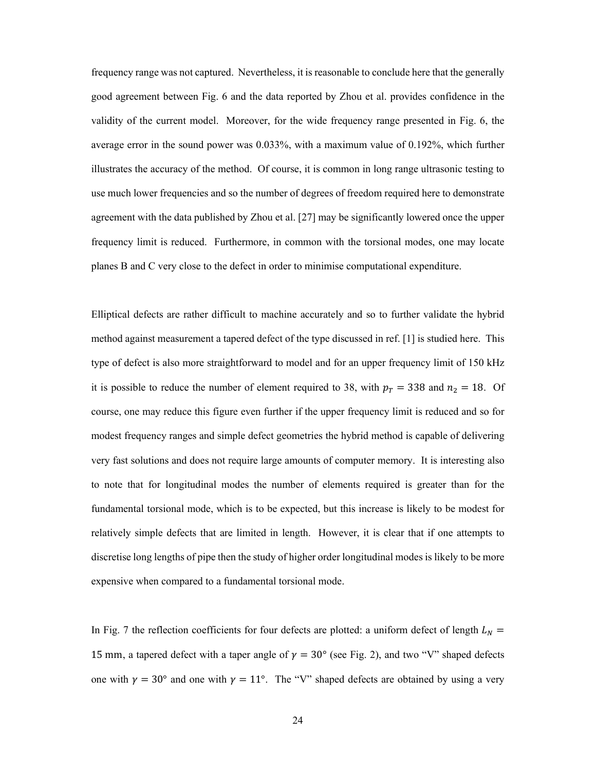frequency range was not captured. Nevertheless, it is reasonable to conclude here that the generally good agreement between Fig. 6 and the data reported by Zhou et al. provides confidence in the validity of the current model. Moreover, for the wide frequency range presented in Fig. 6, the average error in the sound power was 0.033%, with a maximum value of 0.192%, which further illustrates the accuracy of the method. Of course, it is common in long range ultrasonic testing to use much lower frequencies and so the number of degrees of freedom required here to demonstrate agreement with the data published by Zhou et al. [27] may be significantly lowered once the upper frequency limit is reduced. Furthermore, in common with the torsional modes, one may locate planes B and C very close to the defect in order to minimise computational expenditure.

Elliptical defects are rather difficult to machine accurately and so to further validate the hybrid method against measurement a tapered defect of the type discussed in ref. [1] is studied here. This type of defect is also more straightforward to model and for an upper frequency limit of 150 kHz it is possible to reduce the number of element required to 38, with  $p_T = 338$  and  $n_2 = 18$ . Of course, one may reduce this figure even further if the upper frequency limit is reduced and so for modest frequency ranges and simple defect geometries the hybrid method is capable of delivering very fast solutions and does not require large amounts of computer memory. It is interesting also to note that for longitudinal modes the number of elements required is greater than for the fundamental torsional mode, which is to be expected, but this increase is likely to be modest for relatively simple defects that are limited in length. However, it is clear that if one attempts to discretise long lengths of pipe then the study of higher order longitudinal modes is likely to be more expensive when compared to a fundamental torsional mode.

In Fig. 7 the reflection coefficients for four defects are plotted: a uniform defect of length  $L<sub>N</sub>$  = 15 mm, a tapered defect with a taper angle of  $\gamma = 30^{\circ}$  (see Fig. 2), and two "V" shaped defects one with  $\gamma = 30^{\circ}$  and one with  $\gamma = 11^{\circ}$ . The "V" shaped defects are obtained by using a very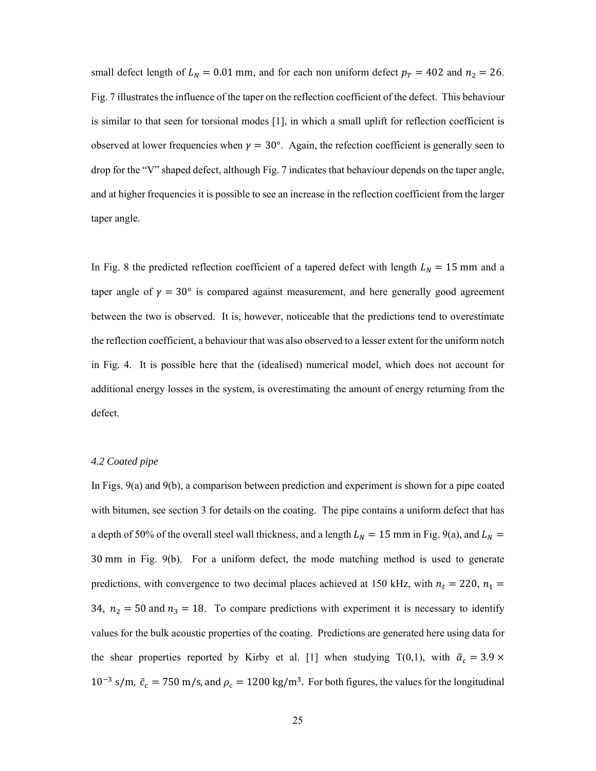small defect length of  $L_N = 0.01$  mm, and for each non uniform defect  $p_T = 402$  and  $n_2 = 26$ . Fig. 7 illustrates the influence of the taper on the reflection coefficient of the defect. This behaviour is similar to that seen for torsional modes [1], in which a small uplift for reflection coefficient is observed at lower frequencies when  $\gamma = 30^{\circ}$ . Again, the refection coefficient is generally seen to drop for the "V" shaped defect, although Fig. 7 indicates that behaviour depends on the taper angle, and at higher frequencies it is possible to see an increase in the reflection coefficient from the larger taper angle.

In Fig. 8 the predicted reflection coefficient of a tapered defect with length  $L<sub>N</sub> = 15$  mm and a taper angle of  $\gamma = 30^{\circ}$  is compared against measurement, and here generally good agreement between the two is observed. It is, however, noticeable that the predictions tend to overestimate the reflection coefficient, a behaviour that was also observed to a lesser extent for the uniform notch in Fig. 4. It is possible here that the (idealised) numerical model, which does not account for additional energy losses in the system, is overestimating the amount of energy returning from the defect.

### *4.2 Coated pipe*

In Figs. 9(a) and 9(b), a comparison between prediction and experiment is shown for a pipe coated with bitumen, see section 3 for details on the coating. The pipe contains a uniform defect that has a depth of 50% of the overall steel wall thickness, and a length  $L<sub>N</sub> = 15$  mm in Fig. 9(a), and  $L<sub>N</sub> =$ 30 mm in Fig. 9(b). For a uniform defect, the mode matching method is used to generate predictions, with convergence to two decimal places achieved at 150 kHz, with  $n_t = 220$ ,  $n_1 =$ 34,  $n_2 = 50$  and  $n_3 = 18$ . To compare predictions with experiment it is necessary to identify values for the bulk acoustic properties of the coating. Predictions are generated here using data for the shear properties reported by Kirby et al. [1] when studying T(0,1), with  $\tilde{\alpha}_c = 3.9 \times$  $10^{-3}$  s/m,  $\tilde{c}_c = 750$  m/s, and  $\rho_c = 1200$  kg/m<sup>3</sup>. For both figures, the values for the longitudinal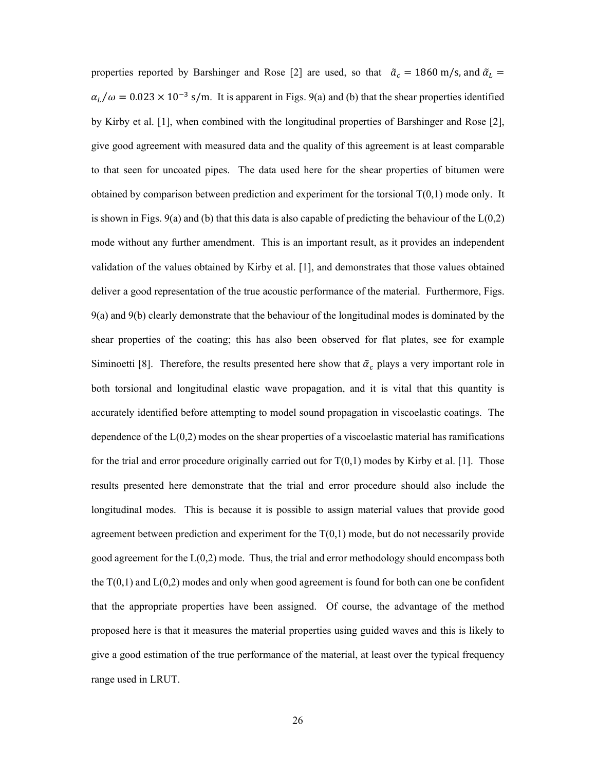properties reported by Barshinger and Rose [2] are used, so that  $\tilde{a}_c = 1860$  m/s, and  $\tilde{a}_L =$  $\alpha_L/\omega = 0.023 \times 10^{-3}$  s/m. It is apparent in Figs. 9(a) and (b) that the shear properties identified by Kirby et al. [1], when combined with the longitudinal properties of Barshinger and Rose [2], give good agreement with measured data and the quality of this agreement is at least comparable to that seen for uncoated pipes. The data used here for the shear properties of bitumen were obtained by comparison between prediction and experiment for the torsional  $T(0,1)$  mode only. It is shown in Figs. 9(a) and (b) that this data is also capable of predicting the behaviour of the  $L(0,2)$ mode without any further amendment. This is an important result, as it provides an independent validation of the values obtained by Kirby et al. [1], and demonstrates that those values obtained deliver a good representation of the true acoustic performance of the material. Furthermore, Figs. 9(a) and 9(b) clearly demonstrate that the behaviour of the longitudinal modes is dominated by the shear properties of the coating; this has also been observed for flat plates, see for example Siminoetti [8]. Therefore, the results presented here show that  $\tilde{\alpha}_c$  plays a very important role in both torsional and longitudinal elastic wave propagation, and it is vital that this quantity is accurately identified before attempting to model sound propagation in viscoelastic coatings. The dependence of the  $L(0,2)$  modes on the shear properties of a viscoelastic material has ramifications for the trial and error procedure originally carried out for  $T(0,1)$  modes by Kirby et al. [1]. Those results presented here demonstrate that the trial and error procedure should also include the longitudinal modes. This is because it is possible to assign material values that provide good agreement between prediction and experiment for the  $T(0,1)$  mode, but do not necessarily provide good agreement for the  $L(0,2)$  mode. Thus, the trial and error methodology should encompass both the  $T(0,1)$  and  $L(0,2)$  modes and only when good agreement is found for both can one be confident that the appropriate properties have been assigned. Of course, the advantage of the method proposed here is that it measures the material properties using guided waves and this is likely to give a good estimation of the true performance of the material, at least over the typical frequency range used in LRUT.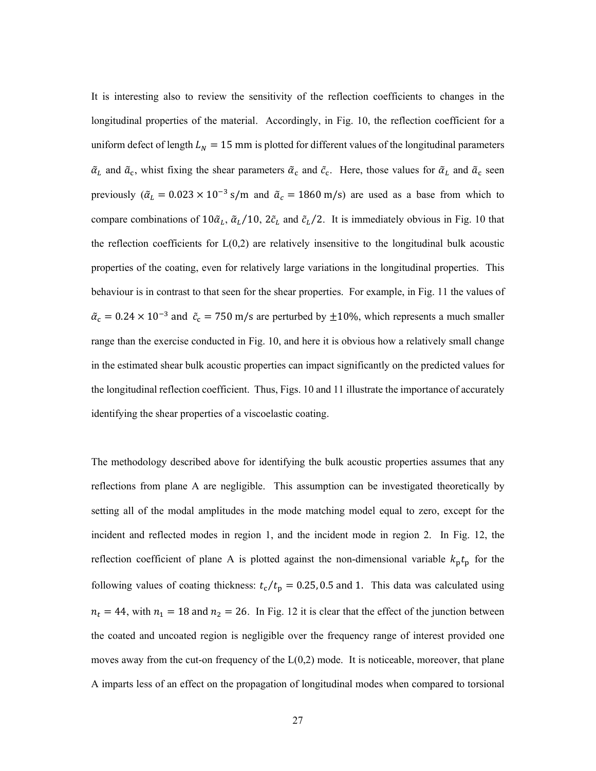It is interesting also to review the sensitivity of the reflection coefficients to changes in the longitudinal properties of the material. Accordingly, in Fig. 10, the reflection coefficient for a uniform defect of length  $L<sub>N</sub> = 15$  mm is plotted for different values of the longitudinal parameters  $\tilde{a}_L$  and  $\tilde{a}_c$ , whist fixing the shear parameters  $\tilde{a}_c$  and  $\tilde{c}_c$ . Here, those values for  $\tilde{a}_L$  and  $\tilde{a}_c$  seen previously ( $\tilde{\alpha}_L = 0.023 \times 10^{-3}$  s/m and  $\tilde{\alpha}_c = 1860$  m/s) are used as a base from which to compare combinations of  $10\tilde{a}_L$ ,  $\tilde{a}_L/10$ ,  $2\tilde{c}_L$  and  $\tilde{c}_L/2$ . It is immediately obvious in Fig. 10 that the reflection coefficients for  $L(0,2)$  are relatively insensitive to the longitudinal bulk acoustic properties of the coating, even for relatively large variations in the longitudinal properties. This behaviour is in contrast to that seen for the shear properties. For example, in Fig. 11 the values of  $\tilde{\alpha}_{\rm c} = 0.24 \times 10^{-3}$  and  $\tilde{c}_{\rm c} = 750$  m/s are perturbed by  $\pm 10$ %, which represents a much smaller range than the exercise conducted in Fig. 10, and here it is obvious how a relatively small change in the estimated shear bulk acoustic properties can impact significantly on the predicted values for the longitudinal reflection coefficient. Thus, Figs. 10 and 11 illustrate the importance of accurately identifying the shear properties of a viscoelastic coating.

The methodology described above for identifying the bulk acoustic properties assumes that any reflections from plane A are negligible. This assumption can be investigated theoretically by setting all of the modal amplitudes in the mode matching model equal to zero, except for the incident and reflected modes in region 1, and the incident mode in region 2. In Fig. 12, the reflection coefficient of plane A is plotted against the non-dimensional variable  $k_p t_p$  for the following values of coating thickness:  $t_c/t_p = 0.25, 0.5$  and 1. This data was calculated using  $n_t = 44$ , with  $n_1 = 18$  and  $n_2 = 26$ . In Fig. 12 it is clear that the effect of the junction between the coated and uncoated region is negligible over the frequency range of interest provided one moves away from the cut-on frequency of the  $L(0,2)$  mode. It is noticeable, moreover, that plane A imparts less of an effect on the propagation of longitudinal modes when compared to torsional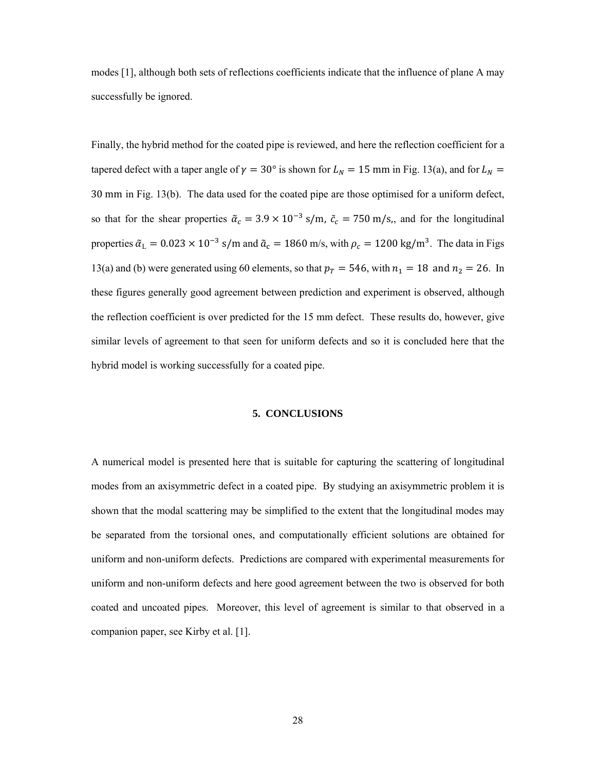modes [1], although both sets of reflections coefficients indicate that the influence of plane A may successfully be ignored.

Finally, the hybrid method for the coated pipe is reviewed, and here the reflection coefficient for a tapered defect with a taper angle of  $\gamma = 30^{\circ}$  is shown for  $L_N = 15$  mm in Fig. 13(a), and for  $L_N =$ 30 mm in Fig. 13(b). The data used for the coated pipe are those optimised for a uniform defect, so that for the shear properties  $\tilde{\alpha}_c = 3.9 \times 10^{-3}$  s/m,  $\tilde{c}_c = 750$  m/s,, and for the longitudinal properties  $\tilde{\alpha}_L = 0.023 \times 10^{-3}$  s/m and  $\tilde{\alpha}_c = 1860$  m/s, with  $\rho_c = 1200$  kg/m<sup>3</sup>. The data in Figs 13(a) and (b) were generated using 60 elements, so that  $p_T = 546$ , with  $n_1 = 18$  and  $n_2 = 26$ . In these figures generally good agreement between prediction and experiment is observed, although the reflection coefficient is over predicted for the 15 mm defect. These results do, however, give similar levels of agreement to that seen for uniform defects and so it is concluded here that the hybrid model is working successfully for a coated pipe.

#### **5. CONCLUSIONS**

A numerical model is presented here that is suitable for capturing the scattering of longitudinal modes from an axisymmetric defect in a coated pipe. By studying an axisymmetric problem it is shown that the modal scattering may be simplified to the extent that the longitudinal modes may be separated from the torsional ones, and computationally efficient solutions are obtained for uniform and non-uniform defects. Predictions are compared with experimental measurements for uniform and non-uniform defects and here good agreement between the two is observed for both coated and uncoated pipes. Moreover, this level of agreement is similar to that observed in a companion paper, see Kirby et al. [1].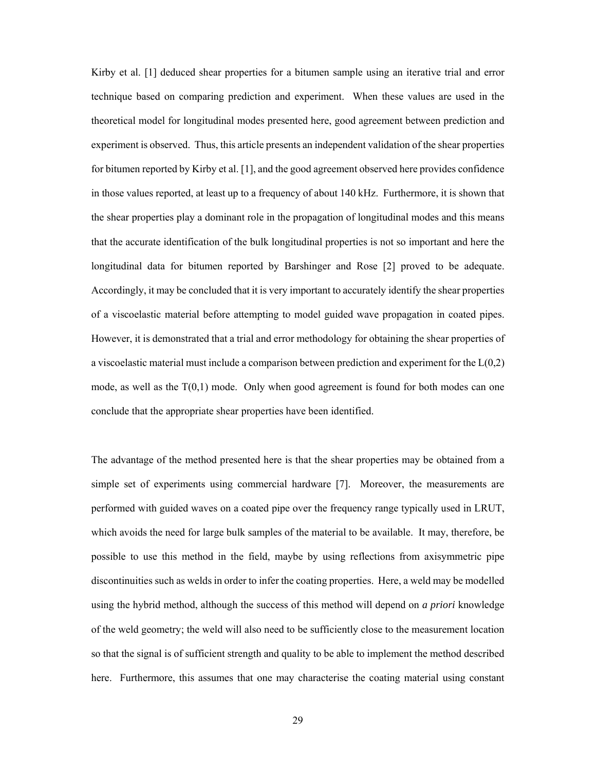Kirby et al. [1] deduced shear properties for a bitumen sample using an iterative trial and error technique based on comparing prediction and experiment. When these values are used in the theoretical model for longitudinal modes presented here, good agreement between prediction and experiment is observed. Thus, this article presents an independent validation of the shear properties for bitumen reported by Kirby et al. [1], and the good agreement observed here provides confidence in those values reported, at least up to a frequency of about 140 kHz. Furthermore, it is shown that the shear properties play a dominant role in the propagation of longitudinal modes and this means that the accurate identification of the bulk longitudinal properties is not so important and here the longitudinal data for bitumen reported by Barshinger and Rose [2] proved to be adequate. Accordingly, it may be concluded that it is very important to accurately identify the shear properties of a viscoelastic material before attempting to model guided wave propagation in coated pipes. However, it is demonstrated that a trial and error methodology for obtaining the shear properties of a viscoelastic material must include a comparison between prediction and experiment for the  $L(0,2)$ mode, as well as the  $T(0,1)$  mode. Only when good agreement is found for both modes can one conclude that the appropriate shear properties have been identified.

The advantage of the method presented here is that the shear properties may be obtained from a simple set of experiments using commercial hardware [7]. Moreover, the measurements are performed with guided waves on a coated pipe over the frequency range typically used in LRUT, which avoids the need for large bulk samples of the material to be available. It may, therefore, be possible to use this method in the field, maybe by using reflections from axisymmetric pipe discontinuities such as welds in order to infer the coating properties. Here, a weld may be modelled using the hybrid method, although the success of this method will depend on *a priori* knowledge of the weld geometry; the weld will also need to be sufficiently close to the measurement location so that the signal is of sufficient strength and quality to be able to implement the method described here. Furthermore, this assumes that one may characterise the coating material using constant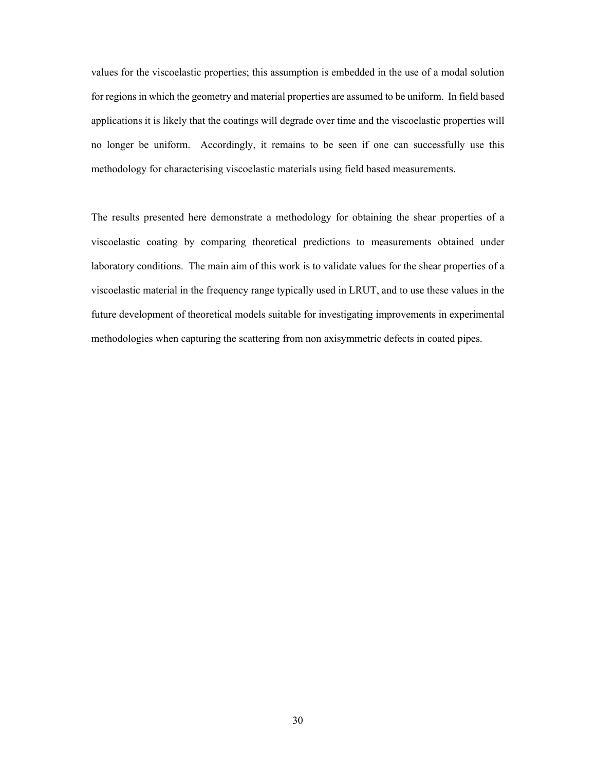values for the viscoelastic properties; this assumption is embedded in the use of a modal solution for regions in which the geometry and material properties are assumed to be uniform. In field based applications it is likely that the coatings will degrade over time and the viscoelastic properties will no longer be uniform. Accordingly, it remains to be seen if one can successfully use this methodology for characterising viscoelastic materials using field based measurements.

The results presented here demonstrate a methodology for obtaining the shear properties of a viscoelastic coating by comparing theoretical predictions to measurements obtained under laboratory conditions. The main aim of this work is to validate values for the shear properties of a viscoelastic material in the frequency range typically used in LRUT, and to use these values in the future development of theoretical models suitable for investigating improvements in experimental methodologies when capturing the scattering from non axisymmetric defects in coated pipes.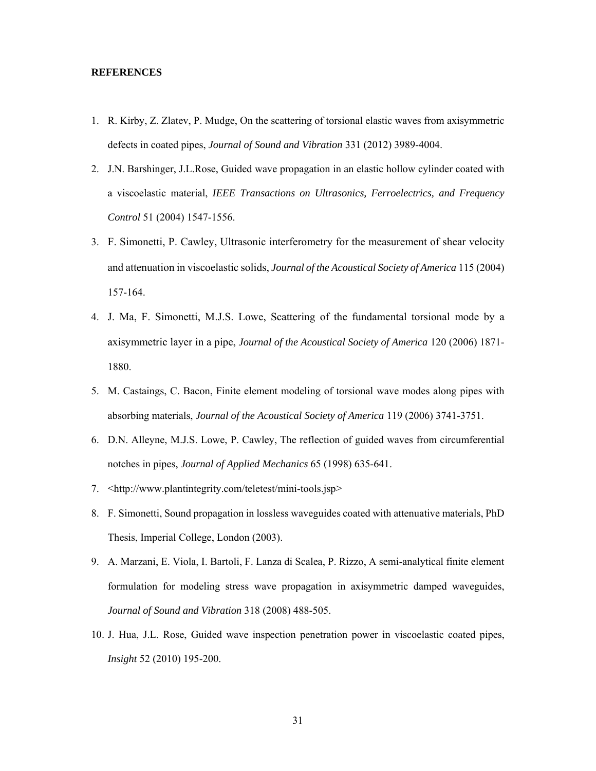#### **REFERENCES**

- 1. R. Kirby, Z. Zlatev, P. Mudge, On the scattering of torsional elastic waves from axisymmetric defects in coated pipes, *Journal of Sound and Vibration* 331 (2012) 3989-4004.
- 2. J.N. Barshinger, J.L.Rose, Guided wave propagation in an elastic hollow cylinder coated with a viscoelastic material, *IEEE Transactions on Ultrasonics, Ferroelectrics, and Frequency Control* 51 (2004) 1547-1556.
- 3. F. Simonetti, P. Cawley, Ultrasonic interferometry for the measurement of shear velocity and attenuation in viscoelastic solids, *Journal of the Acoustical Society of America* 115 (2004) 157-164.
- 4. J. Ma, F. Simonetti, M.J.S. Lowe, Scattering of the fundamental torsional mode by a axisymmetric layer in a pipe, *Journal of the Acoustical Society of America* 120 (2006) 1871- 1880.
- 5. M. Castaings, C. Bacon, Finite element modeling of torsional wave modes along pipes with absorbing materials, *Journal of the Acoustical Society of America* 119 (2006) 3741-3751.
- 6. D.N. Alleyne, M.J.S. Lowe, P. Cawley, The reflection of guided waves from circumferential notches in pipes, *Journal of Applied Mechanics* 65 (1998) 635-641.
- 7. <http://www.plantintegrity.com/teletest/mini-tools.jsp>
- 8. F. Simonetti, Sound propagation in lossless waveguides coated with attenuative materials, PhD Thesis, Imperial College, London (2003).
- 9. A. Marzani, E. Viola, I. Bartoli, F. Lanza di Scalea, P. Rizzo, A semi-analytical finite element formulation for modeling stress wave propagation in axisymmetric damped waveguides, *Journal of Sound and Vibration* 318 (2008) 488-505.
- 10. J. Hua, J.L. Rose, Guided wave inspection penetration power in viscoelastic coated pipes, *Insight* 52 (2010) 195-200.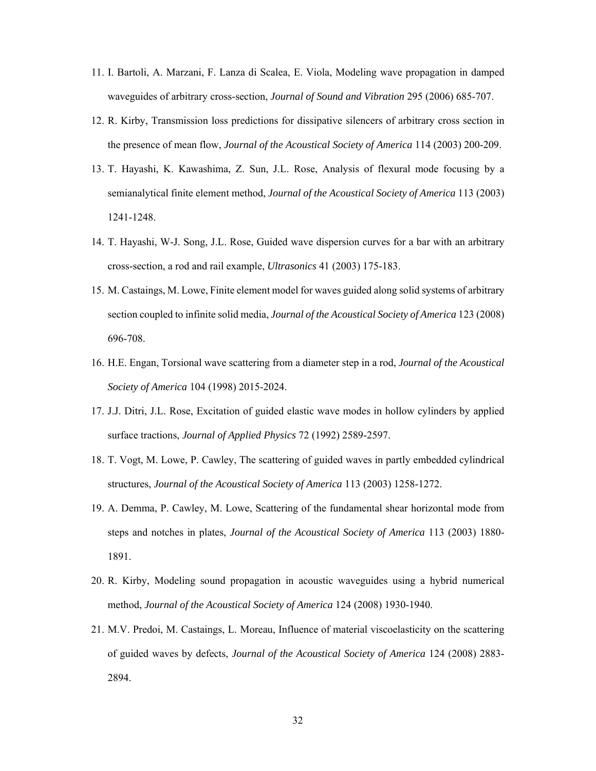- 11. I. Bartoli, A. Marzani, F. Lanza di Scalea, E. Viola, Modeling wave propagation in damped waveguides of arbitrary cross-section, *Journal of Sound and Vibration* 295 (2006) 685-707.
- 12. R. Kirby, Transmission loss predictions for dissipative silencers of arbitrary cross section in the presence of mean flow, *Journal of the Acoustical Society of America* 114 (2003) 200-209.
- 13. T. Hayashi, K. Kawashima, Z. Sun, J.L. Rose, Analysis of flexural mode focusing by a semianalytical finite element method, *Journal of the Acoustical Society of America* 113 (2003) 1241-1248.
- 14. T. Hayashi, W-J. Song, J.L. Rose, Guided wave dispersion curves for a bar with an arbitrary cross-section, a rod and rail example, *Ultrasonics* 41 (2003) 175-183.
- 15. M. Castaings, M. Lowe, Finite element model for waves guided along solid systems of arbitrary section coupled to infinite solid media, *Journal of the Acoustical Society of America* 123 (2008) 696-708.
- 16. H.E. Engan, Torsional wave scattering from a diameter step in a rod, *Journal of the Acoustical Society of America* 104 (1998) 2015-2024.
- 17. J.J. Ditri, J.L. Rose, Excitation of guided elastic wave modes in hollow cylinders by applied surface tractions, *Journal of Applied Physics* 72 (1992) 2589-2597.
- 18. T. Vogt, M. Lowe, P. Cawley, The scattering of guided waves in partly embedded cylindrical structures, *Journal of the Acoustical Society of America* 113 (2003) 1258-1272.
- 19. A. Demma, P. Cawley, M. Lowe, Scattering of the fundamental shear horizontal mode from steps and notches in plates, *Journal of the Acoustical Society of America* 113 (2003) 1880- 1891.
- 20. R. Kirby, Modeling sound propagation in acoustic waveguides using a hybrid numerical method, *Journal of the Acoustical Society of America* 124 (2008) 1930-1940.
- 21. M.V. Predoi, M. Castaings, L. Moreau, Influence of material viscoelasticity on the scattering of guided waves by defects, *Journal of the Acoustical Society of America* 124 (2008) 2883- 2894.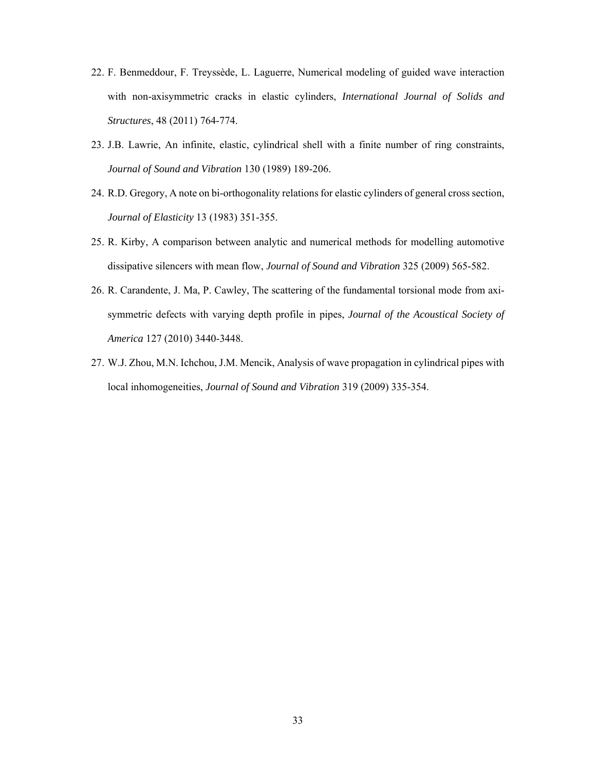- 22. F. Benmeddour, F. Treyssède, L. Laguerre, Numerical modeling of guided wave interaction with non-axisymmetric cracks in elastic cylinders, *International Journal of Solids and Structures*, 48 (2011) 764-774.
- 23. J.B. Lawrie, An infinite, elastic, cylindrical shell with a finite number of ring constraints, *Journal of Sound and Vibration* 130 (1989) 189-206.
- 24. R.D. Gregory, A note on bi-orthogonality relations for elastic cylinders of general cross section, *Journal of Elasticity* 13 (1983) 351-355.
- 25. R. Kirby, A comparison between analytic and numerical methods for modelling automotive dissipative silencers with mean flow, *Journal of Sound and Vibration* 325 (2009) 565-582.
- 26. R. Carandente, J. Ma, P. Cawley, The scattering of the fundamental torsional mode from axisymmetric defects with varying depth profile in pipes, *Journal of the Acoustical Society of America* 127 (2010) 3440-3448.
- 27. W.J. Zhou, M.N. Ichchou, J.M. Mencik, Analysis of wave propagation in cylindrical pipes with local inhomogeneities, *Journal of Sound and Vibration* 319 (2009) 335-354.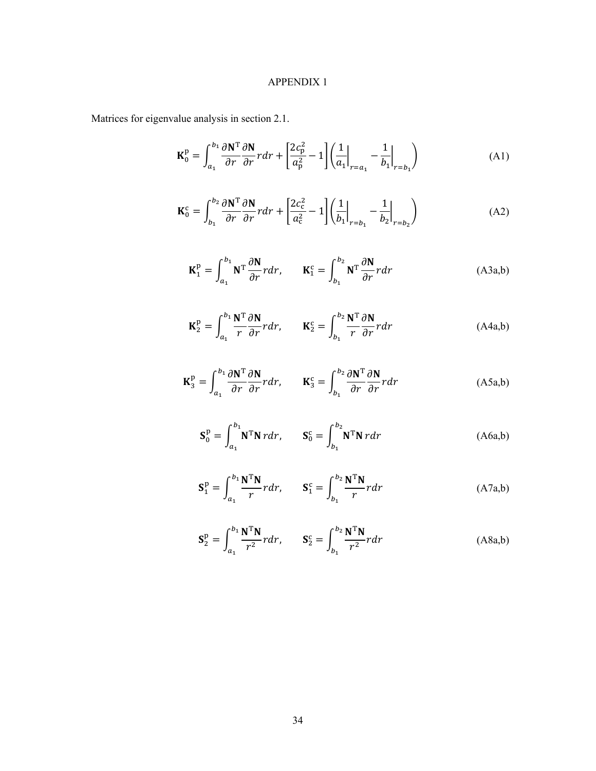# APPENDIX 1

Matrices for eigenvalue analysis in section 2.1.

$$
\mathbf{K}_0^{\mathbf{p}} = \int_{a_1}^{b_1} \frac{\partial \mathbf{N}^{\mathbf{T}}}{\partial r} \frac{\partial \mathbf{N}}{\partial r} r dr + \left[ \frac{2c_{\mathbf{p}}^2}{a_{\mathbf{p}}^2} - 1 \right] \left( \frac{1}{a_1} \Big|_{r=a_1} - \frac{1}{b_1} \Big|_{r=b_1} \right) \tag{A1}
$$

$$
\mathbf{K}_0^c = \int_{b_1}^{b_2} \frac{\partial \mathbf{N}^T}{\partial r} \frac{\partial \mathbf{N}}{\partial r} r dr + \left[ \frac{2c_c^2}{a_c^2} - 1 \right] \left( \frac{1}{b_1} \Big|_{r=b_1} - \frac{1}{b_2} \Big|_{r=b_2} \right) \tag{A2}
$$

$$
\mathbf{K}_1^{\mathbf{p}} = \int_{a_1}^{b_1} \mathbf{N}^{\mathrm{T}} \frac{\partial \mathbf{N}}{\partial r} r dr, \qquad \mathbf{K}_1^{\mathbf{c}} = \int_{b_1}^{b_2} \mathbf{N}^{\mathrm{T}} \frac{\partial \mathbf{N}}{\partial r} r dr \tag{A3a,b}
$$

$$
\mathbf{K}_{2}^{\mathbf{p}} = \int_{a_{1}}^{b_{1}} \frac{\mathbf{N}^{\mathbf{T}}}{r} \frac{\partial \mathbf{N}}{\partial r} r dr, \qquad \mathbf{K}_{2}^{\mathbf{c}} = \int_{b_{1}}^{b_{2}} \frac{\mathbf{N}^{\mathbf{T}}}{r} \frac{\partial \mathbf{N}}{\partial r} r dr \tag{A4a,b}
$$

$$
\mathbf{K}_3^{\mathbf{p}} = \int_{a_1}^{b_1} \frac{\partial \mathbf{N}^{\mathbf{T}}}{\partial r} \frac{\partial \mathbf{N}}{\partial r} r dr, \qquad \mathbf{K}_3^{\mathbf{c}} = \int_{b_1}^{b_2} \frac{\partial \mathbf{N}^{\mathbf{T}}}{\partial r} \frac{\partial \mathbf{N}}{\partial r} r dr \tag{A5a,b}
$$

$$
\mathbf{S}_0^{\mathbf{p}} = \int_{a_1}^{b_1} \mathbf{N}^{\mathbf{T}} \mathbf{N} \, r \, dr, \qquad \mathbf{S}_0^{\mathbf{c}} = \int_{b_1}^{b_2} \mathbf{N}^{\mathbf{T}} \mathbf{N} \, r \, dr \tag{A6a,b}
$$

$$
\mathbf{S}_1^{\mathrm{p}} = \int_{a_1}^{b_1} \frac{\mathbf{N}^{\mathrm{T}} \mathbf{N}}{r} r dr, \qquad \mathbf{S}_1^{\mathrm{c}} = \int_{b_1}^{b_2} \frac{\mathbf{N}^{\mathrm{T}} \mathbf{N}}{r} r dr \tag{A7a,b}
$$

$$
\mathbf{S}_2^{\mathrm{p}} = \int_{a_1}^{b_1} \frac{\mathbf{N}^{\mathrm{T}} \mathbf{N}}{r^2} r dr, \qquad \mathbf{S}_2^{\mathrm{c}} = \int_{b_1}^{b_2} \frac{\mathbf{N}^{\mathrm{T}} \mathbf{N}}{r^2} r dr \tag{A8a,b}
$$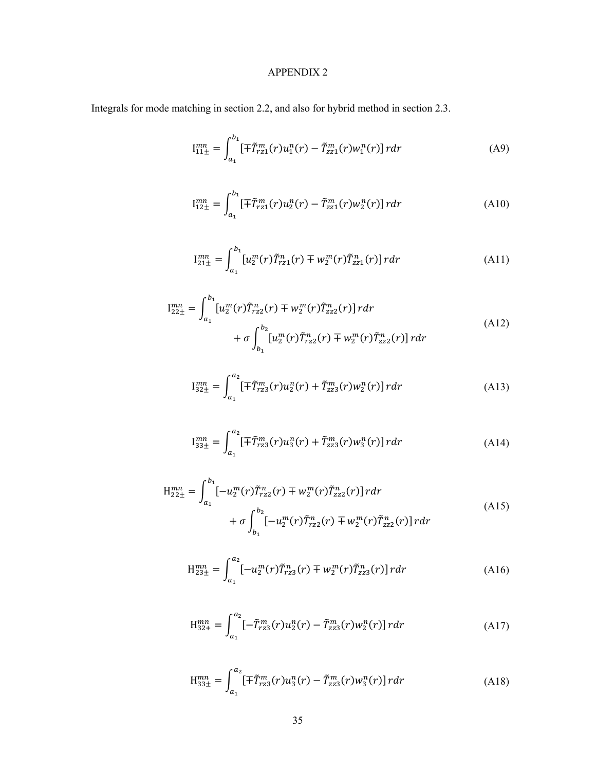# APPENDIX 2

Integrals for mode matching in section 2.2, and also for hybrid method in section 2.3.

$$
I_{11\pm}^{mn} = \int_{a_1}^{b_1} [\mp \tilde{T}_{r21}^m(r) u_1^n(r) - \tilde{T}_{z21}^m(r) w_1^n(r)] \, r dr \tag{A9}
$$

$$
I_{12\pm}^{mn} = \int_{a_1}^{b_1} [\mp \tilde{T}_{r21}^m(r) u_2^n(r) - \tilde{T}_{z21}^m(r) w_2^n(r)] \, r dr \tag{A10}
$$

$$
I_{21\pm}^{mn} = \int_{a_1}^{b_1} [u_2^m(r)\tilde{T}_{r21}^n(r) \mp w_2^m(r)\tilde{T}_{221}^n(r)] \, r dr \tag{A11}
$$

$$
I_{22\pm}^{mn} = \int_{a_1}^{b_1} [u_2^m(r)\tilde{T}_{rzz}^n(r) \mp w_2^m(r)\tilde{T}_{zz2}^n(r)] \, r dr + \sigma \int_{b_1}^{b_2} [u_2^m(r)\tilde{T}_{rzz}^n(r) \mp w_2^m(r)\tilde{T}_{zz2}^n(r)] \, r dr \tag{A12}
$$

$$
I_{32\pm}^{mn} = \int_{a_1}^{a_2} \left[ \mp \tilde{T}_{r23}^m(r) u_2^n(r) + \tilde{T}_{223}^m(r) w_2^n(r) \right] r dr \tag{A13}
$$

$$
I_{33\pm}^{mn} = \int_{a_1}^{a_2} \left[ \mp \tilde{T}_{r23}^m(r) u_3^n(r) + \tilde{T}_{223}^m(r) w_3^n(r) \right] r dr \tag{A14}
$$

$$
H_{22\pm}^{mn} = \int_{a_1}^{b_1} [-u_2^m(r)\tilde{T}_{rz2}^n(r) \mp w_2^m(r)\tilde{T}_{zz2}^n(r)] \, r dr
$$
\n
$$
+ \sigma \int_{b_1}^{b_2} [-u_2^m(r)\tilde{T}_{rz2}^n(r) \mp w_2^m(r)\tilde{T}_{zz2}^n(r)] \, r dr \tag{A15}
$$

$$
H_{23\pm}^{mn} = \int_{a_1}^{a_2} [-u_2^m(r)\tilde{T}_{r23}^n(r) \mp w_2^m(r)\tilde{T}_{z23}^n(r)] \, r dr \tag{A16}
$$

$$
H_{32+}^{mn} = \int_{a_1}^{a_2} \left[ -\tilde{T}_{r23}^m(r) u_2^n(r) - \tilde{T}_{z23}^m(r) w_2^n(r) \right] r dr \tag{A17}
$$

$$
H_{33\pm}^{mn} = \int_{a_1}^{a_2} \left[ \mp \tilde{T}_{r23}^m(r) u_3^n(r) - \tilde{T}_{223}^m(r) w_3^n(r) \right] r dr \tag{A18}
$$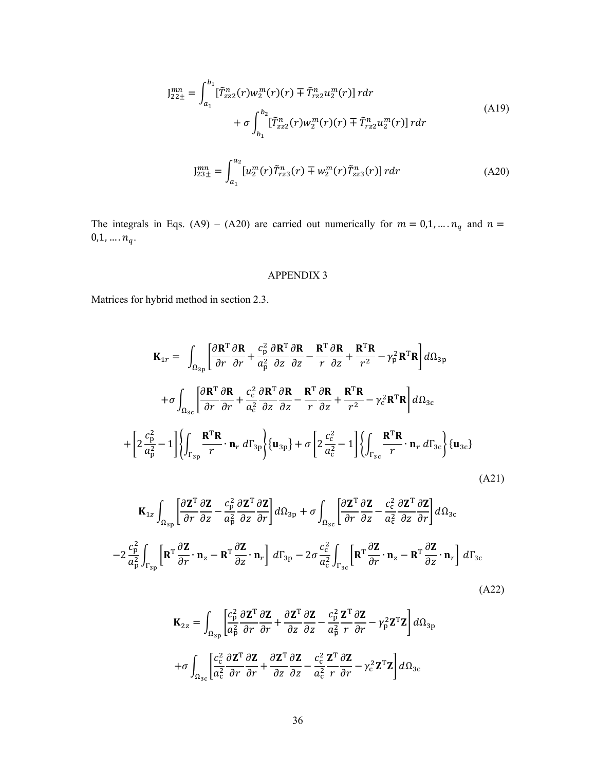$$
J_{22\pm}^{mn} = \int_{a_1}^{b_1} [\tilde{T}_{zz2}^n(r)w_2^m(r)(r) \mp \tilde{T}_{rz2}^n u_2^m(r)] r dr
$$
  
+  $\sigma \int_{b_1}^{b_2} [\tilde{T}_{zz2}^n(r)w_2^m(r)(r) \mp \tilde{T}_{rz2}^n u_2^m(r)] r dr$  (A19)

$$
J_{23\pm}^{mn} = \int_{a_1}^{a_2} [u_2^m(r)\tilde{T}_{r23}^n(r) \mp w_2^m(r)\tilde{T}_{z23}^n(r)] \, r dr \tag{A20}
$$

The integrals in Eqs. (A9) – (A20) are carried out numerically for  $m = 0, 1, ..., n_q$  and  $n =$  $0,1,\ldots,n_q.$ 

# APPENDIX 3

Matrices for hybrid method in section 2.3.

$$
\mathbf{K}_{1r} = \int_{\Omega_{3p}} \left[ \frac{\partial \mathbf{R}^{T}}{\partial r} \frac{\partial \mathbf{R}}{\partial r} + \frac{c_{p}^{2}}{a_{p}^{2}} \frac{\partial \mathbf{R}^{T}}{\partial z} - \frac{\mathbf{R}^{T}}{r} \frac{\partial \mathbf{R}}{\partial z} + \frac{\mathbf{R}^{T} \mathbf{R}}{r^{2}} - \gamma_{p}^{2} \mathbf{R}^{T} \mathbf{R} \right] d\Omega_{3p}
$$

$$
+ \sigma \int_{\Omega_{3c}} \left[ \frac{\partial \mathbf{R}^{T}}{\partial r} \frac{\partial \mathbf{R}}{\partial r} + \frac{c_{c}^{2}}{a_{c}^{2}} \frac{\partial \mathbf{R}^{T}}{\partial z} \frac{\partial \mathbf{R}}{\partial z} - \frac{\mathbf{R}^{T}}{r} \frac{\partial \mathbf{R}}{\partial z} + \frac{\mathbf{R}^{T} \mathbf{R}}{r^{2}} - \gamma_{c}^{2} \mathbf{R}^{T} \mathbf{R} \right] d\Omega_{3c}
$$

$$
+ \left[ 2 \frac{c_{p}^{2}}{a_{p}^{2}} - 1 \right] \left\{ \int_{\Gamma_{3p}} \frac{\mathbf{R}^{T} \mathbf{R}}{r} \cdot \mathbf{n}_{r} d\Gamma_{3p} \right\} \left\{ \mathbf{u}_{3p} \right\} + \sigma \left[ 2 \frac{c_{c}^{2}}{a_{c}^{2}} - 1 \right] \left\{ \int_{\Gamma_{3c}} \frac{\mathbf{R}^{T} \mathbf{R}}{r} \cdot \mathbf{n}_{r} d\Gamma_{3c} \right\} \left\{ \mathbf{u}_{3c} \right\}
$$
(A21)

$$
\mathbf{K}_{1z} \int_{\Omega_{3p}} \left[ \frac{\partial \mathbf{Z}^{T}}{\partial r} \frac{\partial \mathbf{Z}}{\partial z} - \frac{c_{p}^{2}}{a_{p}^{2}} \frac{\partial \mathbf{Z}^{T}}{\partial z} \frac{\partial \mathbf{Z}}{\partial r} \right] d\Omega_{3p} + \sigma \int_{\Omega_{3c}} \left[ \frac{\partial \mathbf{Z}^{T}}{\partial r} \frac{\partial \mathbf{Z}}{\partial z} - \frac{c_{c}^{2}}{a_{c}^{2}} \frac{\partial \mathbf{Z}^{T}}{\partial z} \frac{\partial \mathbf{Z}}{\partial r} \right] d\Omega_{3c}
$$

$$
-2 \frac{c_{p}^{2}}{a_{p}^{2}} \int_{\Gamma_{3p}} \left[ \mathbf{R}^{T} \frac{\partial \mathbf{Z}}{\partial r} \cdot \mathbf{n}_{z} - \mathbf{R}^{T} \frac{\partial \mathbf{Z}}{\partial z} \cdot \mathbf{n}_{r} \right] d\Gamma_{3p} - 2 \sigma \frac{c_{c}^{2}}{a_{c}^{2}} \int_{\Gamma_{3c}} \left[ \mathbf{R}^{T} \frac{\partial \mathbf{Z}}{\partial r} \cdot \mathbf{n}_{z} - \mathbf{R}^{T} \frac{\partial \mathbf{Z}}{\partial z} \cdot \mathbf{n}_{r} \right] d\Gamma_{3c}
$$
(A22)

$$
\mathbf{K}_{2z} = \int_{\Omega_{3p}} \left[ \frac{c_{\rm p}^2}{a_{\rm p}^2} \frac{\partial \mathbf{Z}^{\mathrm{T}}}{\partial r} \frac{\partial \mathbf{Z}}{\partial r} + \frac{\partial \mathbf{Z}^{\mathrm{T}}}{\partial z} \frac{\partial \mathbf{Z}}{\partial z} - \frac{c_{\rm p}^2}{a_{\rm p}^2} \frac{\mathbf{Z}^{\mathrm{T}}}{r} \frac{\partial \mathbf{Z}}{\partial r} - \gamma_{\rm p}^2 \mathbf{Z}^{\mathrm{T}} \mathbf{Z} \right] d\Omega_{3p}
$$

$$
+ \sigma \int_{\Omega_{3c}} \left[ \frac{c_{\rm c}^2}{a_{\rm c}^2} \frac{\partial \mathbf{Z}^{\mathrm{T}}}{\partial r} \frac{\partial \mathbf{Z}}{\partial r} + \frac{\partial \mathbf{Z}^{\mathrm{T}}}{\partial z} \frac{\partial \mathbf{Z}}{\partial z} - \frac{c_{\rm c}^2}{a_{\rm c}^2} \frac{\mathbf{Z}^{\mathrm{T}}}{r} \frac{\partial \mathbf{Z}}{\partial r} - \gamma_{\rm c}^2 \mathbf{Z}^{\mathrm{T}} \mathbf{Z} \right] d\Omega_{3c}
$$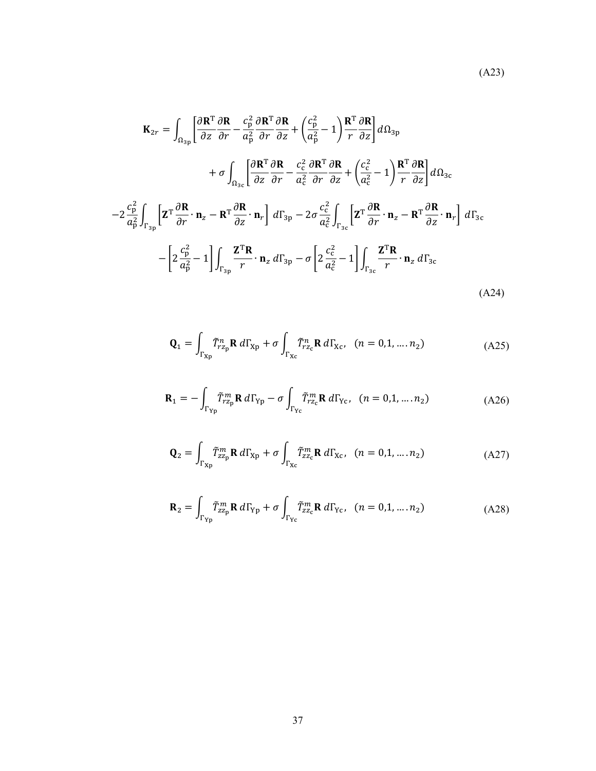$$
\mathbf{K}_{2r} = \int_{\Omega_{3\text{p}}} \left[ \frac{\partial \mathbf{R}^{\text{T}}}{\partial z} \frac{\partial \mathbf{R}}{\partial r} - \frac{c_{\text{p}}^{2}}{a_{\text{p}}^{2}} \frac{\partial \mathbf{R}}{\partial r} + \left( \frac{c_{\text{p}}^{2}}{a_{\text{p}}^{2}} - 1 \right) \frac{\mathbf{R}^{\text{T}}}{r} \frac{\partial \mathbf{R}}{\partial z} \right] d\Omega_{3\text{p}} + \sigma \int_{\Omega_{3c}} \left[ \frac{\partial \mathbf{R}^{\text{T}}}{\partial z} \frac{\partial \mathbf{R}}{\partial r} - \frac{c_{\text{c}}^{2}}{a_{\text{c}}^{2}} \frac{\partial \mathbf{R}^{\text{T}}}{\partial r} \frac{\partial \mathbf{R}}{\partial z} + \left( \frac{c_{\text{c}}^{2}}{a_{\text{c}}^{2}} - 1 \right) \frac{\mathbf{R}^{\text{T}}}{r} \frac{\partial \mathbf{R}}{\partial z} \right] d\Omega_{3c} - 2 \frac{c_{\text{p}}^{2}}{a_{\text{p}}^{2}} \int_{\Gamma_{3\text{p}}} \left[ \mathbf{Z}^{\text{T}} \frac{\partial \mathbf{R}}{\partial r} \cdot \mathbf{n}_{z} - \mathbf{R}^{\text{T}} \frac{\partial \mathbf{R}}{\partial z} \cdot \mathbf{n}_{r} \right] d\Gamma_{3\text{p}} - 2 \sigma \frac{c_{\text{c}}^{2}}{a_{\text{c}}^{2}} \int_{\Gamma_{3c}} \left[ \mathbf{Z}^{\text{T}} \frac{\partial \mathbf{R}}{\partial r} \cdot \mathbf{n}_{z} - \mathbf{R}^{\text{T}} \frac{\partial \mathbf{R}}{\partial z} \cdot \mathbf{n}_{r} \right] d\Gamma_{3\text{c}} - \left[ 2 \frac{c_{\text{p}}^{2}}{a_{\text{p}}^{2}} - 1 \right] \int_{\Gamma_{3\text{p}}} \frac{\mathbf{Z}^{\text{T}} \mathbf{R}}{r} \cdot \mathbf{n}_{z} d\Gamma_{3\text{p}} - \sigma \left[ 2 \frac{c_{\text{c}}^{2}}{a_{\text{c}}^{2}} - 1 \right] \int_{\Gamma_{3c}} \frac{\mathbf{Z}^{\text{T}} \
$$

$$
\mathbf{Q}_1 = \int_{\Gamma_{\text{Xp}}} \tilde{T}_{r z_{\text{p}}}^n \mathbf{R} \, d\Gamma_{\text{Xp}} + \sigma \int_{\Gamma_{\text{Xc}}} \tilde{T}_{r z_{\text{c}}}^n \mathbf{R} \, d\Gamma_{\text{Xc}}, \quad (n = 0, 1, \dots, n_2) \tag{A25}
$$

$$
\mathbf{R}_1 = -\int_{\Gamma_{\text{Yp}}} \tilde{T}_{r z_p}^m \mathbf{R} \, d\Gamma_{\text{Yp}} - \sigma \int_{\Gamma_{\text{Yc}}} \tilde{T}_{r z_c}^m \mathbf{R} \, d\Gamma_{\text{Yc}}, \quad (n = 0, 1, \dots, n_2) \tag{A26}
$$

$$
\mathbf{Q}_2 = \int_{\Gamma_{\text{Xp}}} \tilde{T}_{zz_p}^m \mathbf{R} \, d\Gamma_{\text{Xp}} + \sigma \int_{\Gamma_{\text{Xc}}} \tilde{T}_{zz_c}^m \mathbf{R} \, d\Gamma_{\text{Xc}}, \quad (n = 0, 1, \dots, n_2) \tag{A27}
$$

$$
\mathbf{R}_2 = \int_{\Gamma_{\text{Yp}}} \tilde{T}_{zz_p}^m \mathbf{R} \, d\Gamma_{\text{Yp}} + \sigma \int_{\Gamma_{\text{Yc}}} \tilde{T}_{zz_c}^m \mathbf{R} \, d\Gamma_{\text{Yc}}, \quad (n = 0, 1, \dots, n_2) \tag{A28}
$$

37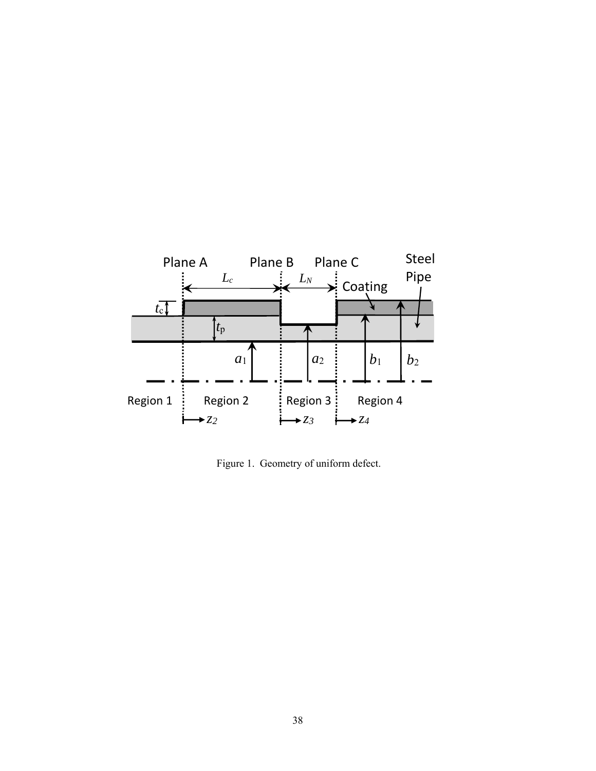

Figure 1. Geometry of uniform defect.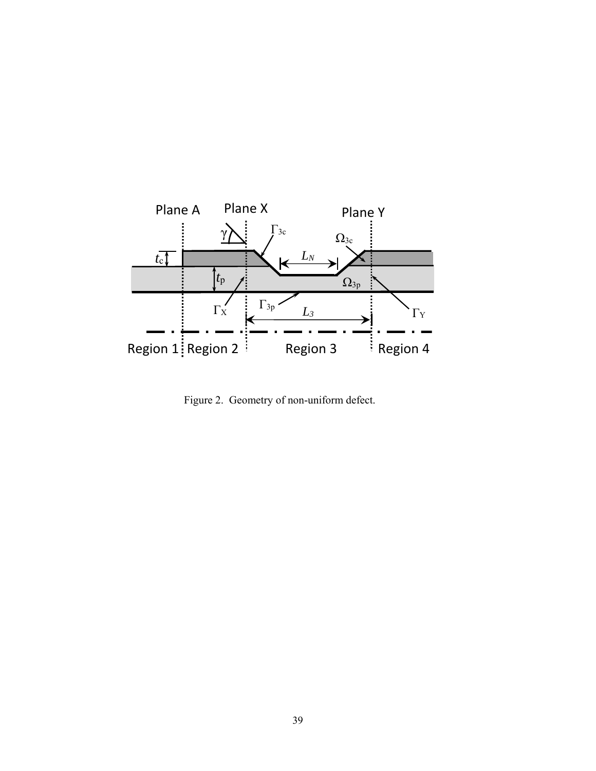

Figure 2. Geometry of non-uniform defect.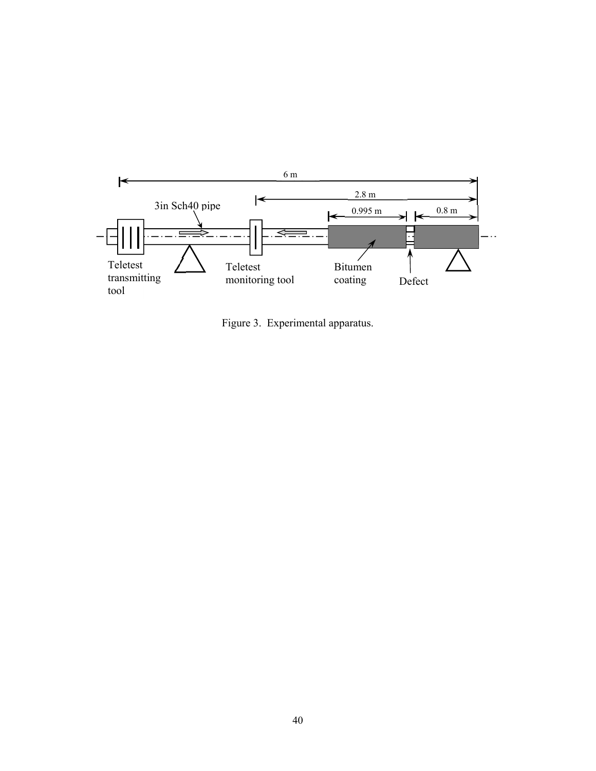

Figure 3. Experimental apparatus.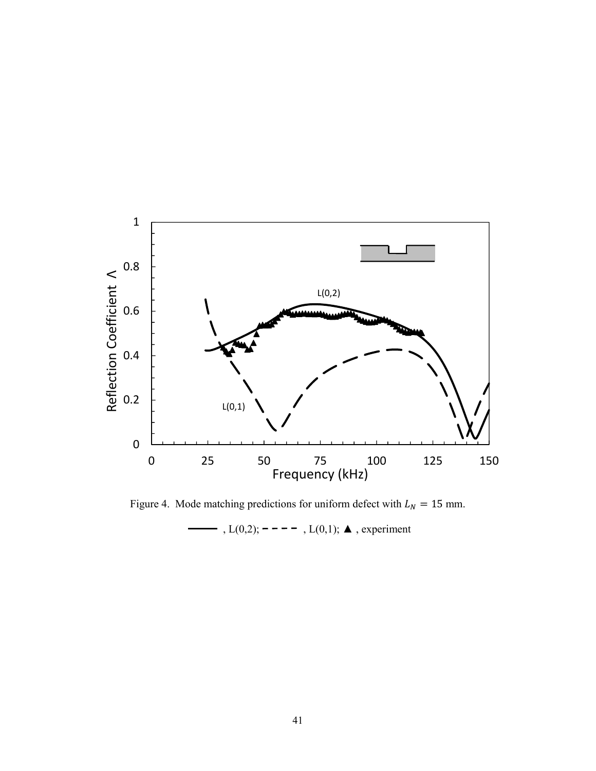

Figure 4. Mode matching predictions for uniform defect with  $L_N = 15$  mm.

→ ,  $L(0,2)$ ; - - - - ,  $L(0,1)$ ;  $\triangle$ , experiment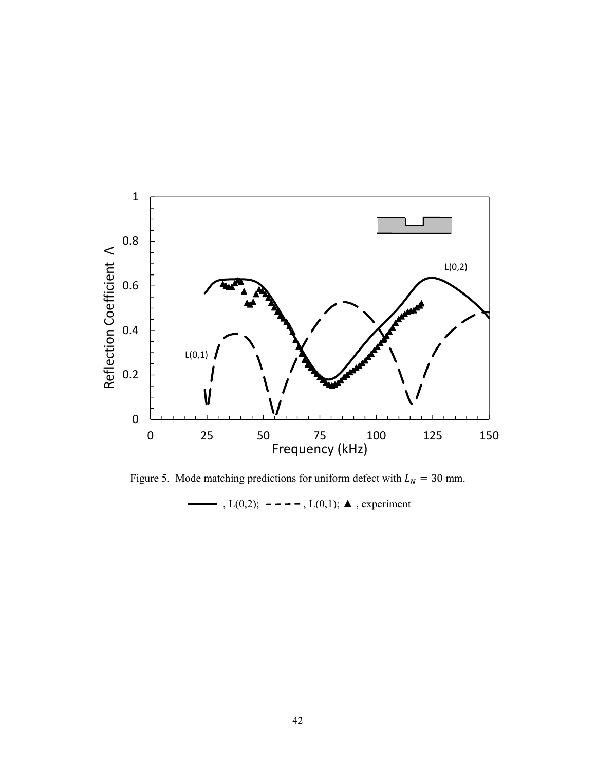

Figure 5. Mode matching predictions for uniform defect with  $L_N = 30$  mm. - , L(0,2); - − − − , L(0,1); **△** , experiment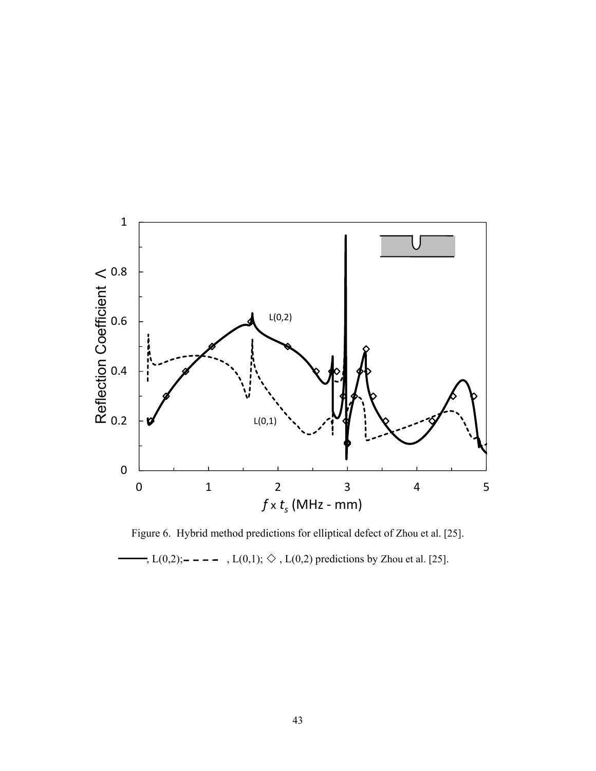

Figure 6. Hybrid method predictions for elliptical defect of Zhou et al. [25].  $-, L(0,2);$   $---, L(0,1); \diamondsuit, L(0,2)$  predictions by Zhou et al. [25].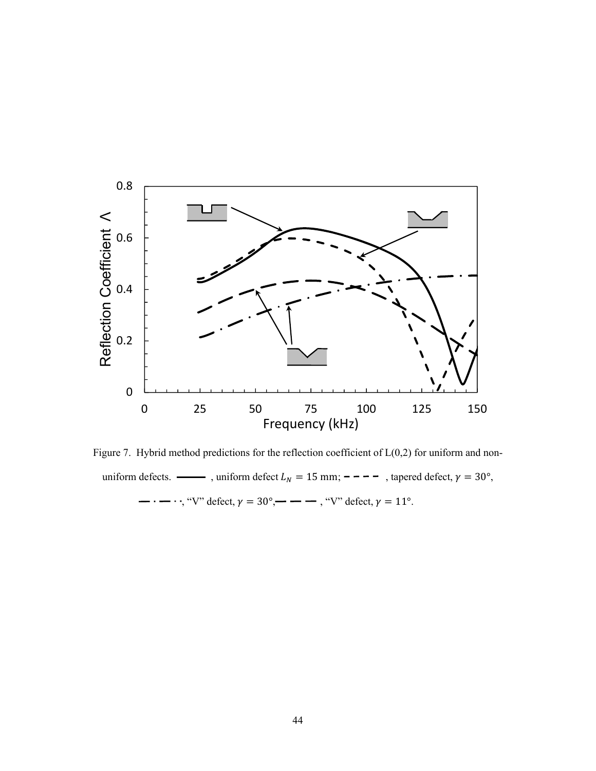

Figure 7. Hybrid method predictions for the reflection coefficient of  $L(0,2)$  for uniform and nonuniform defects.  $\longrightarrow$ , uniform defect  $L_N = 15$  mm;  $\rightarrow$  -  $\rightarrow$  , tapered defect,  $\gamma = 30^{\circ}$ ,  $-\cdot - \cdot$ ; "V" defect,  $\gamma = 30^{\circ}$ ,  $-\cdot -$ , "V" defect,  $\gamma = 11^{\circ}$ .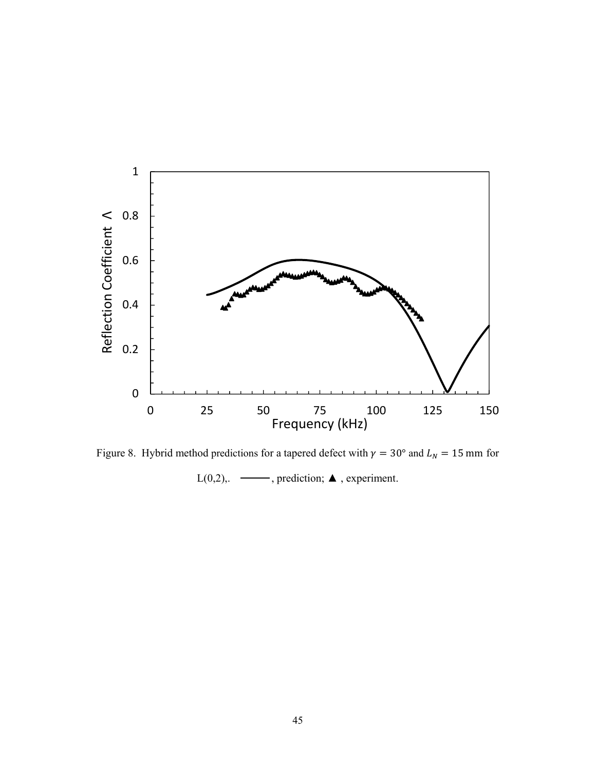

Figure 8. Hybrid method predictions for a tapered defect with  $\gamma = 30^{\circ}$  and  $L_N = 15$  mm for L(0,2),  $\longrightarrow$ , prediction;  $\blacktriangle$ , experiment.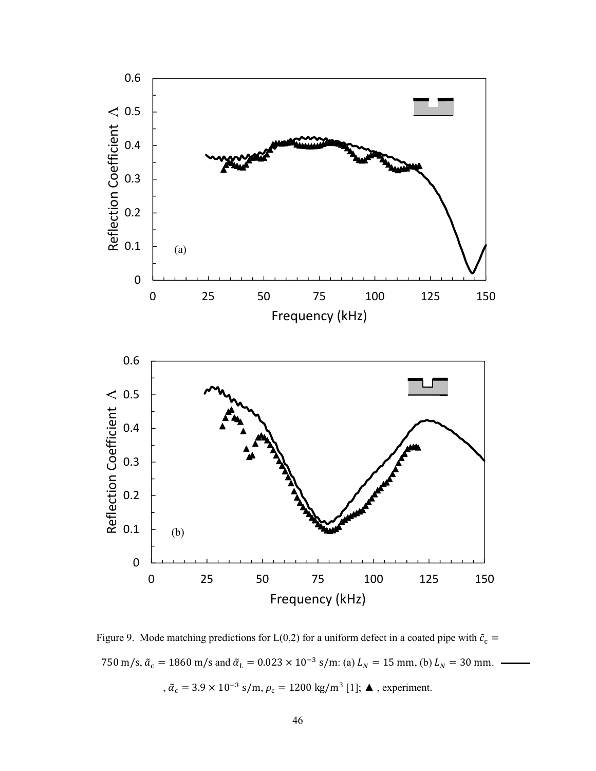

Figure 9. Mode matching predictions for L(0,2) for a uniform defect in a coated pipe with  $\tilde{c}_c$  = 750 m/s,  $\tilde{a}_c = 1860$  m/s and  $\tilde{a}_L = 0.023 \times 10^{-3}$  s/m: (a)  $L_N = 15$  mm, (b)  $L_N = 30$  mm. ,  $\tilde{\alpha}_{\rm c} = 3.9 \times 10^{-3}$  s/m,  $\rho_{\rm c} = 1200$  kg/m $^3$  [1];  $\blacktriangle$  , experiment.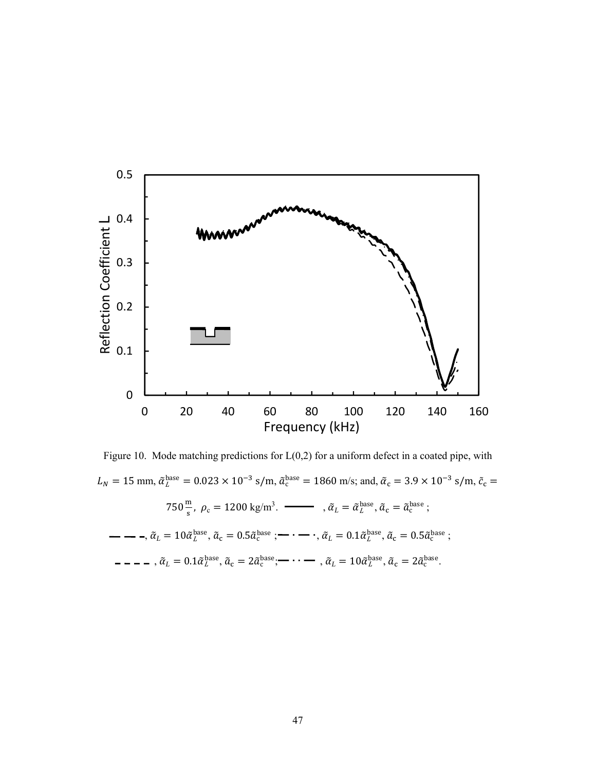

Figure 10. Mode matching predictions for  $L(0,2)$  for a uniform defect in a coated pipe, with  $L_N = 15$  mm,  $\tilde{\alpha}_L^{\text{base}} = 0.023 \times 10^{-3}$  s/m,  $\tilde{\alpha}_c^{\text{base}} = 1860$  m/s; and,  $\tilde{\alpha}_c = 3.9 \times 10^{-3}$  s/m,  $\tilde{c}_c =$  $750 \frac{\text{m}}{\text{s}}$ ,  $\rho_c = 1200 \text{ kg/m}^3$ .  $\longrightarrow$   $\tilde{\alpha}_L = \tilde{\alpha}_L^{\text{base}}$ ,  $\tilde{\alpha}_c = \tilde{\alpha}_c^{\text{base}}$ ;  $\tilde{\alpha}_L = 10 \tilde{\alpha}_L^{\mathrm{base}}, \tilde{\alpha}_c = 0.5 \tilde{\alpha}_c^{\mathrm{base}}$ ;  $\rightarrow \cdots$ ,  $\tilde{\alpha}_L = 0.1 \tilde{\alpha}_L^{\mathrm{base}}, \tilde{\alpha}_c = 0.5 \tilde{\alpha}_c^{\mathrm{base}}$ ; ,  $\tilde{\alpha}_L = 0.1 \tilde{\alpha}_L^{\text{base}}, \tilde{\alpha}_c = 2 \tilde{\alpha}_c^{\text{base}};$   $\longrightarrow$  ,  $\tilde{\alpha}_L = 10 \tilde{\alpha}_L^{\text{base}}, \tilde{\alpha}_c = 2 \tilde{\alpha}_c^{\text{base}}.$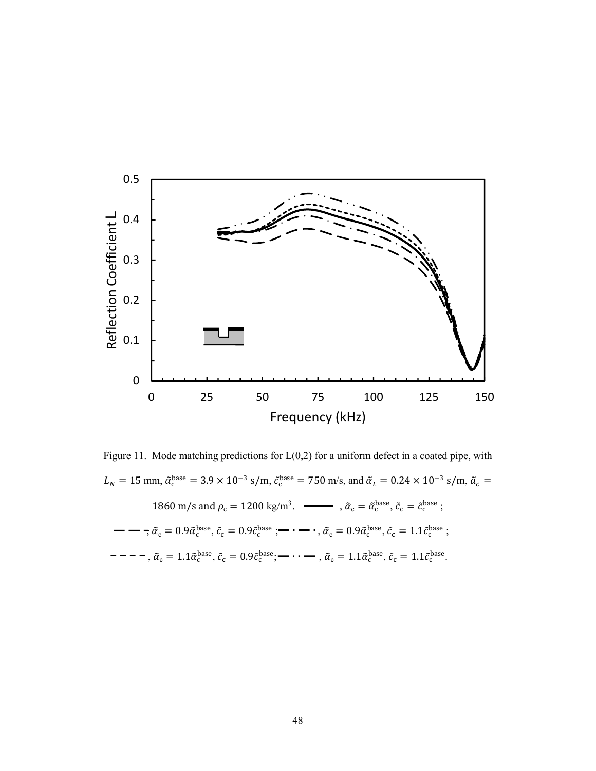

Figure 11. Mode matching predictions for L(0,2) for a uniform defect in a coated pipe, with  $L_N = 15$  mm,  $\tilde{\alpha}_c^{base} = 3.9 \times 10^{-3}$  s/m,  $\tilde{c}_c^{base} = 750$  m/s, and  $\tilde{\alpha}_L = 0.24 \times 10^{-3}$  s/m,  $\tilde{\alpha}_c =$ 1860 m/s and  $\rho_c = 1200 \text{ kg/m}^3$ .  $\rightarrow \tilde{\alpha}_c = \tilde{\alpha}_c^{\text{base}}$ ,  $\tilde{c}_c = \tilde{c}_c^{\text{base}}$ ;  $\tilde{\alpha}_{\rm c} = 0.9\tilde{\alpha}_{\rm c}^{\rm base}, \tilde{c}_{\rm c} = 0.9\tilde{c}_{\rm c}^{\rm base}$ ;  $\tilde{\alpha}_{\rm c} = 0.9\tilde{\alpha}_{\rm c}^{\rm base}, \tilde{c}_{\rm c} = 1.1\tilde{c}_{\rm c}^{\rm base}$ ; ,  $\tilde{\alpha}_{\rm c} = 1.1 \tilde{\alpha}_{\rm c}^{\rm base}, \tilde{c}_{\rm c} = 0.9 \tilde{c}_{\rm c}^{\rm base};$   $\cdots$   $\cdots$  ,  $\tilde{\alpha}_{\rm c} = 1.1 \tilde{\alpha}_{\rm c}^{\rm base}, \tilde{c}_{\rm c} = 1.1 \tilde{c}_{\rm c}^{\rm base}.$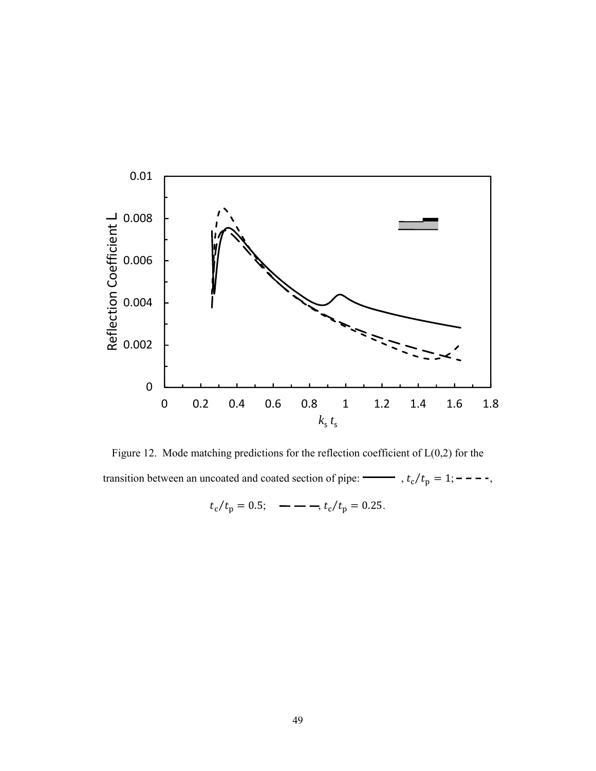

Figure 12. Mode matching predictions for the reflection coefficient of  $L(0,2)$  for the transition between an uncoated and coated section of pipe:  $\rightarrow t_c/t_p = 1; - - -$ ,

$$
t_c/t_p = 0.5;
$$
 — — —,  $t_c/t_p = 0.25.$